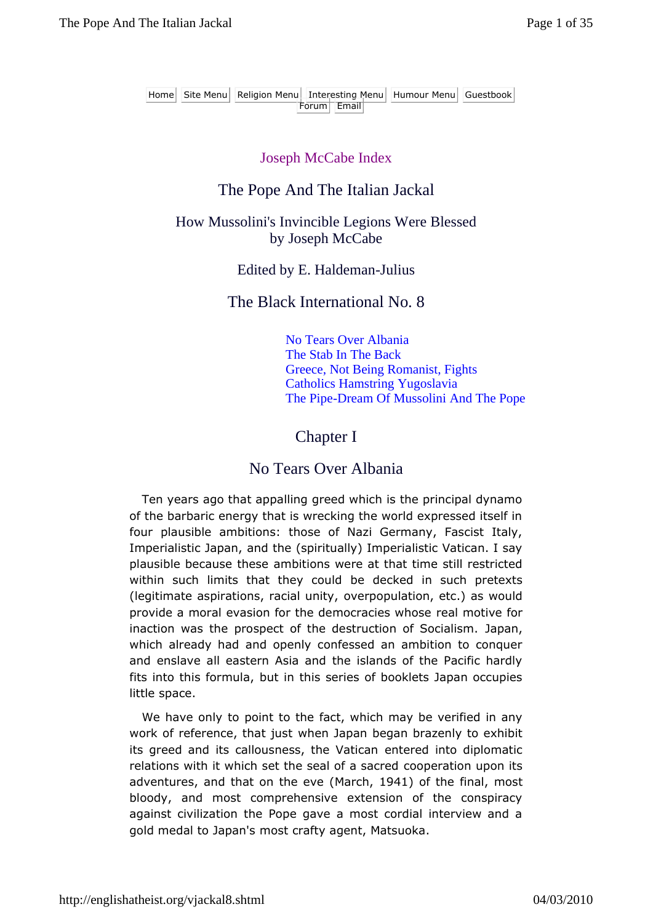Home Site Menu Religion Menu Interesting Menu Humour Menu Guestbook Forum Email

#### Joseph McCabe Index

### The Pope And The Italian Jackal

### How Mussolini's Invincible Legions Were Blessed by Joseph McCabe

Edited by E. Haldeman-Julius

### The Black International No. 8

No Tears Over Albania The Stab In The Back Greece, Not Being Romanist, Fights Catholics Hamstring Yugoslavia The Pipe-Dream Of Mussolini And The Pope

### Chapter I

### No Tears Over Albania

Ten years ago that appalling greed which is the principal dynamo of the barbaric energy that is wrecking the world expressed itself in four plausible ambitions: those of Nazi Germany, Fascist Italy, Imperialistic Japan, and the (spiritually) Imperialistic Vatican. I say plausible because these ambitions were at that time still restricted within such limits that they could be decked in such pretexts (legitimate aspirations, racial unity, overpopulation, etc.) as would provide a moral evasion for the democracies whose real motive for inaction was the prospect of the destruction of Socialism. Japan, which already had and openly confessed an ambition to conquer and enslave all eastern Asia and the islands of the Pacific hardly fits into this formula, but in this series of booklets Japan occupies little space.

We have only to point to the fact, which may be verified in any work of reference, that just when Japan began brazenly to exhibit its greed and its callousness, the Vatican entered into diplomatic relations with it which set the seal of a sacred cooperation upon its adventures, and that on the eve (March, 1941) of the final, most bloody, and most comprehensive extension of the conspiracy against civilization the Pope gave a most cordial interview and a gold medal to Japan's most crafty agent, Matsuoka.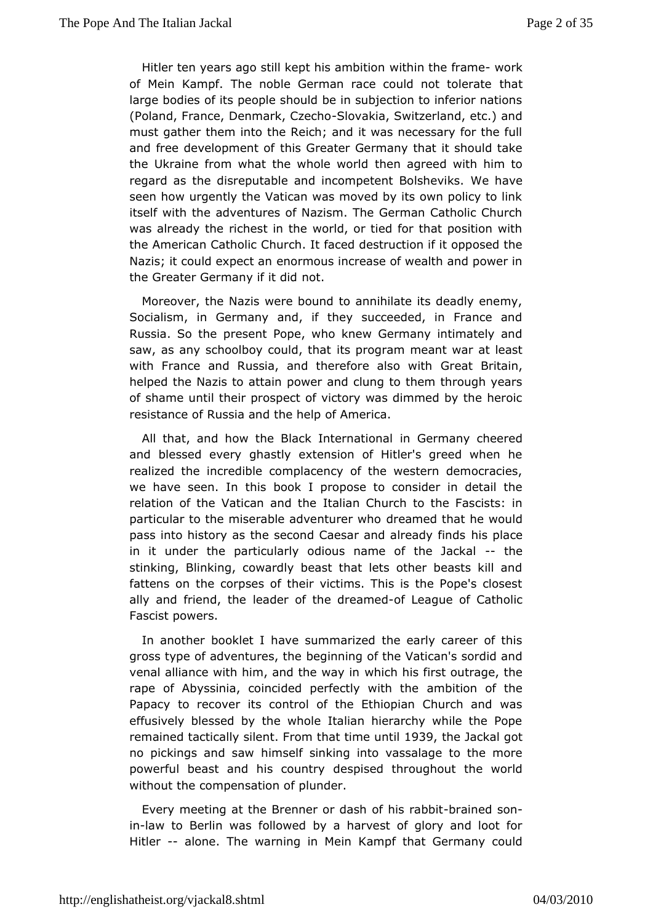Hitler ten years ago still kept whish am bhite of naw org k of Mein Kampf. The noble German race coutindatnot tolerate large bodies of its people should be in subjection to inferior (Poland, France, DenmarkSI Cyzelcitao Switzerland, etc.) and must gathtehrem into the Reich; and it was necessary for the fu and free developments offreater Germany that it should take the Ukraine from what the whtohleen waccordeled with him to regard as the disreputable and incompete hat Boovsheviks. seen how urgently the Vatican was moved by its own policy to itselwith the adventures of Nazism. The German Catholic Chu was already ribbest in the world, or tied for that position wit the American Cathoulnch. It faced destruction if it opposed the Nazis; it could expensotrmanus increase of wealth and power in the Greater Germany nibilt did

Moreover, the Nazis were bound to annihilate its deadly en Socialism, in Germany and, if they succeeded, in France Russia. So pthesent Pope, who knew Germany intimately and saw, as any schoolboy could diprohopartam meant war at least with France and Russia, and therefoGee and SB riwaith, helped the Nazis to attain power and clung to them through  $y$ of shame until their prospect of victory was dimmed by the h resistance was ia and the help of America.

All that, and how the Black Initrer Gaetimany cheered and blessed every ghastly extension of Hitler's greed whe realized the incredible complacency of the western democra we have seenthis book I propose to consider in detail the relation of the Vatican laand ath Church to the Fascists: in particular to the miserable advelne ame edwith pat he would pass into history as the second Caesar ahids aplinee and y finds in it under the particularly odious name-ofthehe Jackal stinking, Blinking, cowardly beast that lets other beasts kill fattens ome corpses of their victims. This is the Pope's clos ally and friendlealdeer of the drecafmedague of Catholic Fascist powers.

In anotheooklet I have summarized the early career of this gross type of adventubes, inthieng of the Vatican's sordid and venal alliance with him, and whech wahy sinfirst outrage, the rape of Abyssinia, coincided perfecthy iw oth othethe Papacy to recover its control of the Ethiopian Church and effusively blessed by the whole Italian hierarchy while the remained actically sifferom that time 1 und the Jackal got no pickings and himself sinking into vassalage to the more powerful beast and his choosuppits rey dthroughout the world without the compensation of plunder.

Everymeeting at the Brenner or dash - obfrahinse dabount in-law to Berlin for blass wed by a harvest of glory and loot for Hitler-alone. The warning ika Mpinthat Germany could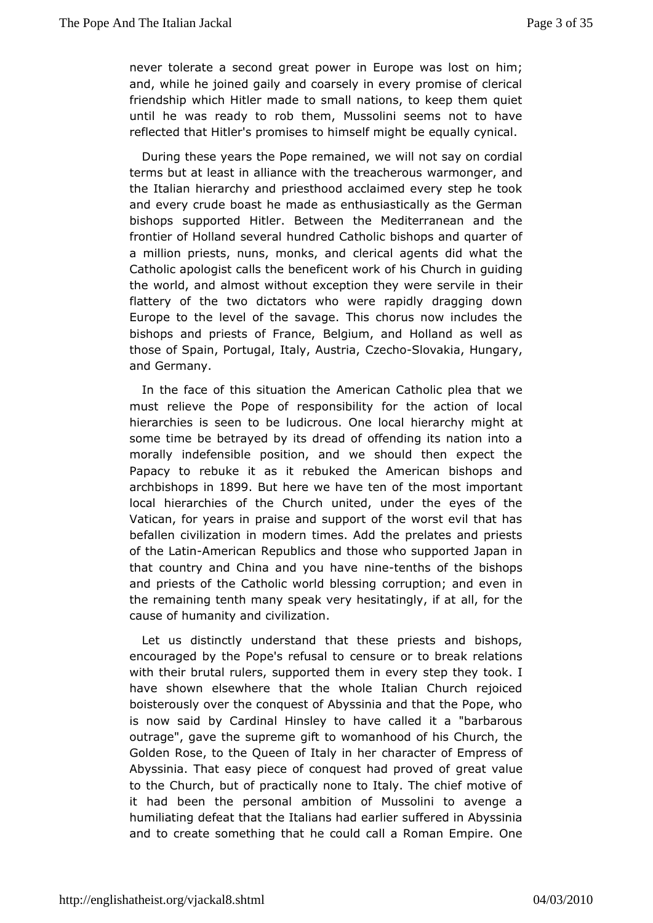never tolerate a second great power in Equaro him was lost and, while he joined gaily and coarsely in every promise of c friendship which Hitler made to small nations, to keep them until he wreesady to rob them. Mussolini seems not to have reflected that Hitler's torchminisses if might be equally cynical.

During these years the Pope we maih and t say on cordial terms but at least in alliance with the atmecance heerr, o and the Italian hierarchy and priesthood acclaimed every step he and every crude boast he made as enthusiastically as the Ge bishopsupported Hitler. Between the Mediterranean and th frontier of Holland servedrad Catholic bishops and quarter of a million priests, nuns, mochlesicaalnoagents did what the Catholic apologist calls the benefic@mhut work how things in g the world, and almost without exception the the erre servile in flattery of the two dictators who were rapidly dragging d Europe to the el of the savage. This chorus now includes the bishops and priests of BFenlanium men, and Holland as well as those of Spain, Portugal, ItaCyze Alastrovaakia, Hungary, and Germany.

In the face of this situ atmenticlan Catholic plea that we must relieve the Pope of responsibabilitivonfor the cal hierarchies is seen to be ludicrous. One locad thierarchy might some time be betrayed by its dread of offending its nation in morallyindefensible position, and we should then expect the Papacy to rebuke it readsukied the American bishops and archbishops 899 But here we have the mfost important local hierarchies of the Church united, under the eyes of Vatican, for years in praise and support of the worst evil the befallecnvilization in modern times. Add the prelates and prie of the LaAimericaRepublics and those who supported Japan in that country and China and nyionuetehrathes of the bishops and priests of the Catholic world bring bets in gand even in the remaining tenth many speak very hesallationglyheif at cause of humanity and civilization.

Let us distinucnt by erstand that these priests and bishops, encouraged by the Pope's cehusuale tor to break relations with their brutal rulers, supported the theore they very k. I have shown elsewhere that the whole Italian Church rejoi boisterously over the conquest of Abyssinia and that the Pope is now sabid Cardinal Hinsley to have called it a "barbarou outrage", gave the suppitte to womanhood of his Church, the Golden Rose, to the Queen of dhaalya cheen Empress of Abyssinia. That easy piece of conquestghead t praolweed of to the Church, but of practically none to Italy. The chief mot it had been the personal ambition of Mussolini to aveng humiliating deficat the Italians had earlier suffered in Abyssini and to create somethime thatd call a Roman Empire. One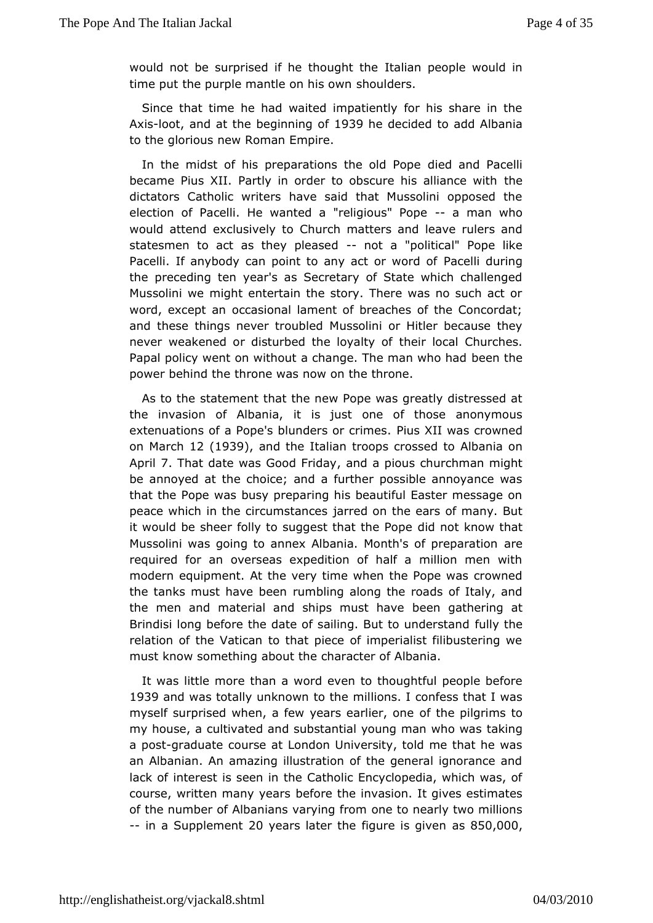would not be surprised if he thought the pheople would in time put the purple mantle  $cosh\theta$  washing the should

Since that time he had waited impatiently for his share in Axisootand at the beginning other decided to add Albania to theglorious new Roman Empire.

In the midst of his preparations to be oblain Pro Pacelli became Pius XII. Partly in order to obscure thies alliance with dictators Catholic writers have said that Mussolini oppose election Poacelli. He wanted a "religiouss" manpwho would attend exclusi@ blurct to matters and leave rulers and statesmen to act as they-pheoets and political" Pope like Pacelli. If any body can point to any aPcat c our liw oburding of the preceding ten year's as Secretary of State which challe Mussolini we might entertain the story. There was no such a word, excepto amasional lament of breaches of the Concordat; and these things never Mrosusbolbioni or Hitler because they never weakened or disturbed the hooivallough Churches. Papal policy went on without a change. The emanh who had power behind the throne was now on the throne.

As to the stement that the new Pope was greatly distressed the invasion of Albtaniisa, just one of those anonymous extenuations of a Pope's blunderSius Xilimwess. crowned on March 2 (1939), and the Italian troops crAolsbeaend at con April. That date was Good, aFrridd ay pious churchman might beannoyed at the choice; and a further possible annoyance that the Popebway preparing his beautiful Easter message on peace which in the circumastandces the ears of many. But it would be sheer folly to suggest thid that he Ropethat Mussolini was going to annex Albania. Monthaseof preparation required for an overseas expedition of half a million men modernequipment. At the very time when the Pope was crowne the tanks must haverubrete ling along the roads of Italy, and the men and material and ships measnt haw beering at Brindisi long before the date of sailing. Bfutlity the derstand relation of the Vatican to that piece of imperialist filibuster must know something about the character of Albania.

It was little mhoane a word even to thoughtful people before 1939 and was totally unknowm illiothes. I confess that I was myself surprised when, a few yearsofeathleieprilgomiens to my house, a cultivated and substantial young kman who was a posgraduate course at London University, told me that he v anAlbanian. An amazing illustration of the general ignorance lack of inteirsesteen in the Catholic Encyclopedia, which was, course, written manybey fearmes the invasion. It gives estimates of the number of Albanians vaony ento fineemarly two millions  $-$ in a Supplem 2 $e$ Onytears later the figure aiss  $850$  V,  $e$  000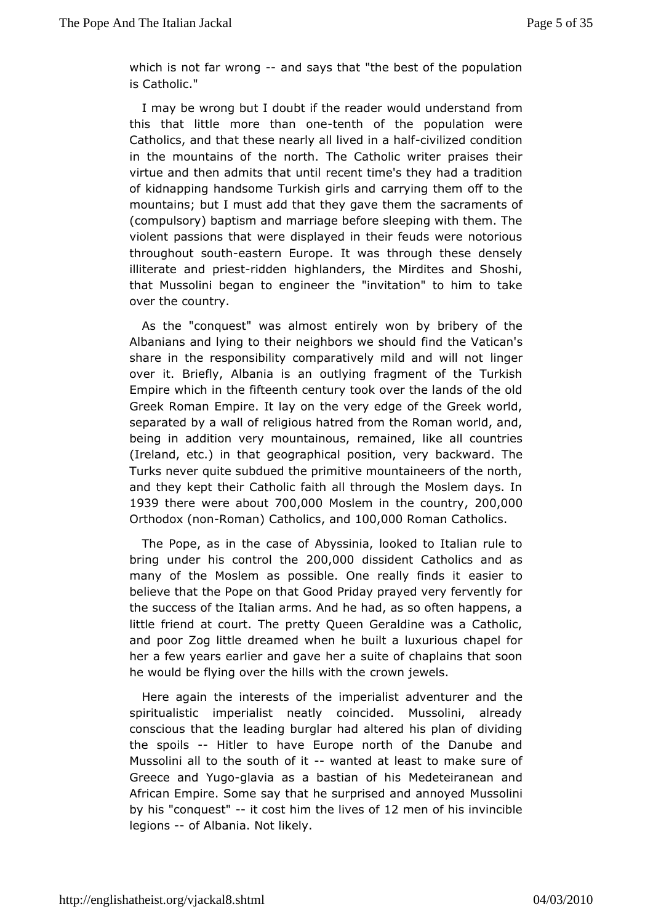which is not far wrong says that "the best of the population is Catholic."

I may be wrong but I doubt if the reader wofud on understand this that little more thtæmthonef the population were Catholics, tahrad these nearly all live-divilized and idondition in the mountaintsheofnorth. The Catholic writer praises their virtue and then admits theacte untilme's they had a tradition of kidnapping handsome Turkischangrivilagath dem off to the mountains; but I must add that they gaver almeem the bef (compulsory) baptism and marriage before sleeping with them. violent passions that were displayed in their feuds were not throughout the astern Europe. It was through these densely illiterate and -pirdest ighlanders, the Mirdites and Shoshi, that Mussolini began to eng'iime etrattiben" to him to take over the country.

As the "conquest" was ealthinesty won by bribery of the Albanians and lying to their neighboirred with es hauld an's share in the responsibility comparatively mlindgearnd will not over it. Briefly, Albania is an outlying fragment of the Tu Empirwhich in the fifteenth century took over the lands of the Greek Romam pire. It lay on the very edge of the Greek world separated by a wall gobus hatred from the Roman world, and, being in addition very moundmianionuesd, like all countries (Ireland, etc.) in that geographical  $\boldsymbol{p}$  as ktwo and  $\boldsymbol{v}$  of the Turks never quite subdued the primitive mountaineers of the r and they kept their Catholic faith all through the Moslem day 1939 therewere abo  $\overline{a}$ 00,000 Moslem in the co 2000 f, 000  $Orthodox$  ( $r$ Romman $Q$  atholics and  $100,00$  Roman Catholics

The Pope, as in the **khossineria**, looked to Italian rule to bring under his cont $2000$ , the  $200$  issident Catholics and as many of the Moslem as possible. One reeastileyr finds it believe that the Pope on that Good Priday prayed very ferven the success of the Italian arms. And he had, as so often happ littlériend at court. The pretty Queen Geraldine was a Catho and poor Zog dintelæmed when he built a luxurious chapel for her a few years earlier hed agasweite of chaplains that soon he would be flying over the hid to winit the wheels.

Here again the interests of the imperialist the dventurer and spiritualistic imperialist neatly coincided. Mussolini, al consciours at the leading burglar had altered his plan of divid the spoils Hitleto have Europe north of the Danube and Mussolini all to the sout whan feld at least to make sure of Greece and Ygul**go** ia as a bastian Moefd beighing and African Empire. Some say that he surprise Mduse modliannoyed by his "conquest "cost him the lives ment of his invincible legions of Albania. Not likely.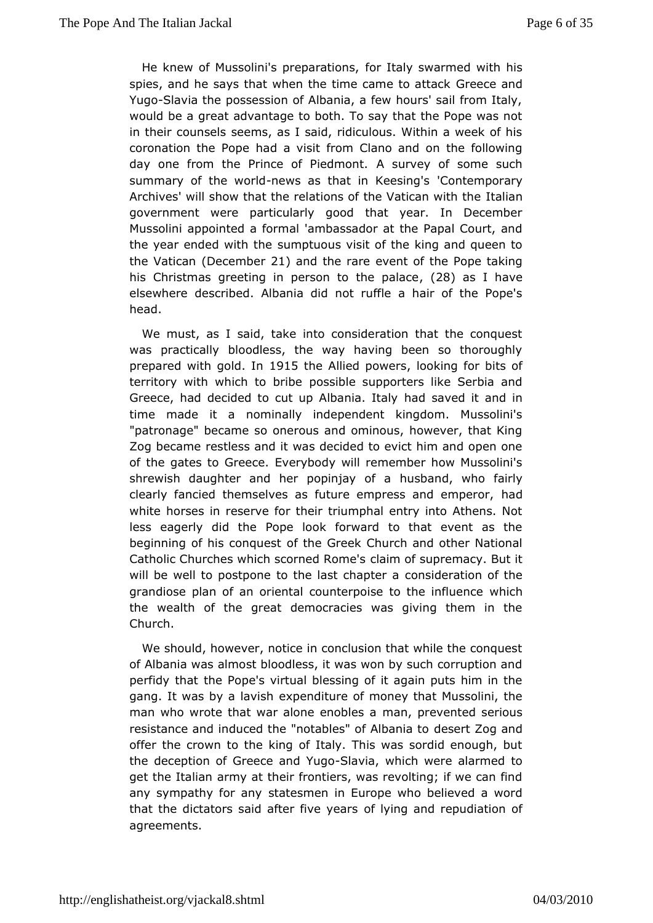He knew of Mussolini's prefoxarraltiad passwarmed with his spies, and he says that when the time Gameecto aantodack YugoSlavia the possession of Albania, a few hours' sail from would be a great advantage to both. To say that the Pope was in the crounsels seems, as I said, ridiculous. Within a week of coronation the Praciea visit from Clano and on the following day one from the Prince of Riesdum ony. of some such summary of the world as that in Kee Conna's mporary Archives' will show that the relations of the talain an with the government were particularly good that year. In Decemb Mussolian pointed a formal 'ambassador at the Papal Court, and the year ended with the buous visit of the king and queen to the Vatic(aD necember 21) and the rae weent of the Pope taking his Christmas greeting in person to (28) heasplaheaovee elsewhere described. Albania did not ruffle a hair of the F head.

We must, as I said, take into consideration that the conq waspractically bloodless, the way having been so thorough prepared with gold. 15the Allied poweers ing for bits of territory with which tpobsible supporters like Serbia and Greece, had decided to cut up Ahbaadnisaavetdaliyt and in time made it a nominally independent kingdom. Mussolir "patronage" became so onerous and ominous, however, that Zog becamestless and it was decided to evict him and open o of the gates to GEever op body will remember how Mussolini's shrewish daughter and her popimy aband, awho fairly clearly fancied themselves as future emprestsadand emperor, white horses in reserve for their triumphal entry into Athens lesseagerly did the Pope look forward to that event as t beginning of his comfquest Greek Church and other National Catholic Churches which scor**aleed mR**omm as uspremacy. But it will be well to postpone to the lacsotns hobepriaetrioan of the grandiose plan of an oriental counterpoise whiche influence the wealth of the great democracies was giving them in Church.

We should, however, notice in conclusion that while the con of Albania was almost bloodless, it was won by such corruptic perfidy that Pope's virtual blessing of it again puts him in t gang. It was by a dapes holiture of money that Mussolini, the man who wrote that war alone meanobles exeented serious resistance and induced the "notablesdecsfe Atl b Zaongiaan hod offer the crown to the king of Italy. This was sordid enough the deception of Greece - Sanhady Nay qwhich were alarmed to get the Italiamy at their frontiers, was revolting; if we can fir any sympathy forstæntesmen in Europe who believed a word that the dictators said after offiviolaring and repudiation of agreements.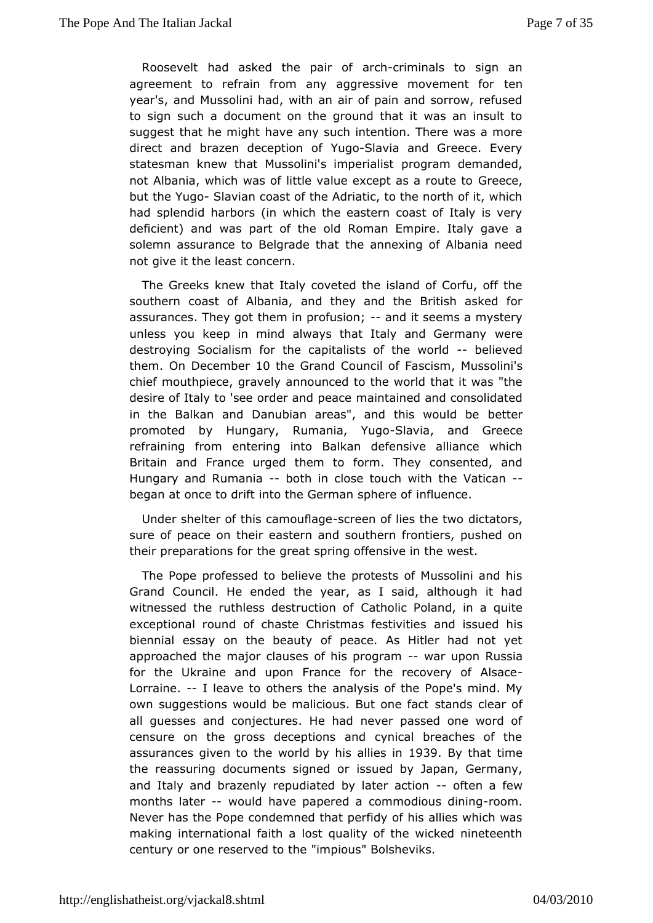Roosevelt had asked the apaintrigationals to sign an agreement to refrain from any aggressive menuvement for year's, and Mussolini had, with an air of pain and sorrow, re to signuch a document on the ground that it was an insult suggest that he maghtany such intention. There was a more direct and brazen deceptugoSlavia and Greece. Every statesman knew that Mussolini's primogrearmaldisetmanded, not Albania, which was of little value excente asea route to but the Yu8 bavian coast of the Adriatic, to the north of it, whi had splendid harbors (in which the eastern coast of Italy is deficient) awnads part of the old Roman Empire. Italy gave a solemn assurance to Belgtadeathmetxing of Albania need not give it the least concern.

The Greeks aw that Italy coveted the island of Corfu, off the southern coast of Alabadnitahey and the British asked for assurances. They got them in-paodusticsne; ems a mystery unless you keep in mind always that Italy wend Germany destroying Socialism for the capitalists- beline world them. ODecember 0 the Grand Council of Forlanges of the 10 the masses of the 10 the Grand Council of Formation in the Council of Formation in the Council of Formation of the  $\sim 10$  the council of  $\sim 10$  the council of  $\$ chief mouthpiece, garrarvoeuly nced to the world that it was "the desire of Italy to 'see order maanid ta enaugue and consolidated in the Balkan and Danubian areas", and better would be promoted by Hungary, Ruman-BalaviYaugoand Greece refraining from tering into Balkan defensive alliance which Britain and France urged ftchremm Tohey consented, and Hungary and Rumabicath in close touch withhid babegan at once to drift into the Germman use photos of

Under shelter of this camoun the def lies the intensions, sure of peace on their eastern and southern frontiers, pushe their preparations for the great spring offensive in the west.

The Pope ofessed to believe the protests of Mussolini and I Grand Council. He tehred eyde ar, as I said, although it had witnessed the ruthless destCuadhion hicoPoland, in a quite exceptional round of chaste Christmaansd fessativeidliehsis biennial essay on the beauty of peace. As Hitler had not approached the major clauses of hiwaprogonam Russia for the Ukraame upon France for the recovery of Alsace Lorraine. I leave to others analysis of the Pope's mind. My own suggestions would be malicious.sBeuntdosnoelefoanctof all guesses and conjectures. He had never passed one wor censure on the gross deceptions and cynical breaches of assurances givelmetovorld by his all De3s9 Bing that time the reassuring documents sisgs mused dowy Japan, Germany, and Italy and brazenly repudiated by-loaftteern axtion months late would have papered a commodipous mdining Nevehas the Pope condemned that perfidy of his allies which making internationath a lost quality of the wicked nineteenth century or one reserve"d mtpiolus" Bolsheviks.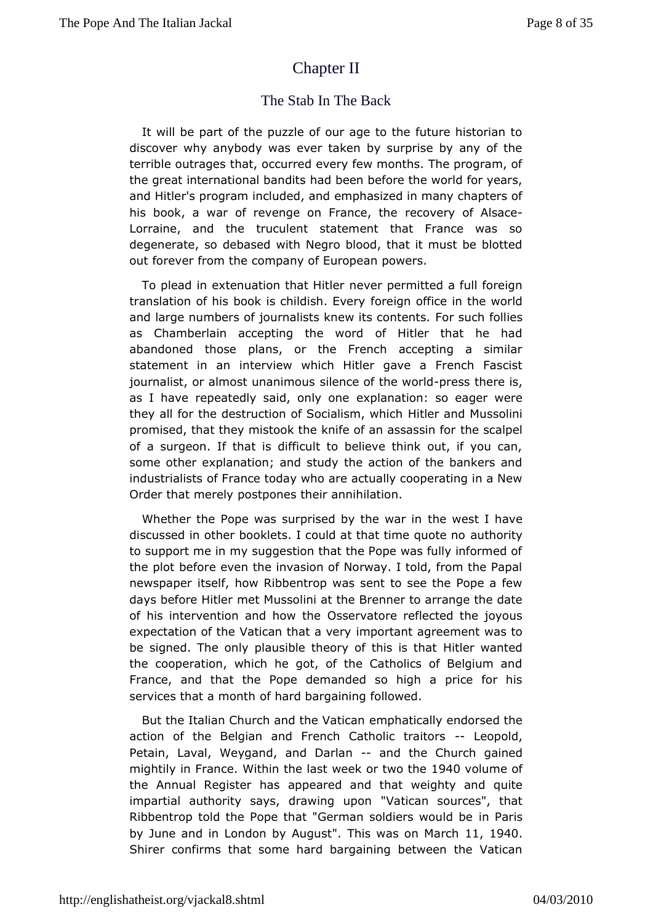# [Chapter II](http://englishatheist.org/vjackal8.shtmlChapter)

### The Stab In TheBack

It will be part of the puzzle of our age to the future histori discover why anybody was ever taken by surprise by any of terrible outramets, occurred every few months. The program, of the great internationalh bad nodeles before the world for years, and Hitler's program inclue onlepch, assinated in many chapters of his book, a war of revenge on Freacowe, rythoef A-Isace Lorraine, and the truculent statement that France was degenerate, so debased with Negro blood, that it must be bl out fore weom the company of European powers.

To plead in extenuation that ehit plearmitted a full foreign translation of his book is chifdishing nE vefrige in the world and large numbers of journalists knewFatssaohteonlistes as Chamberlain accepting the word of Hitler that he h abandoned those plans, or the French accepting a simil statement in inaterview which Hitler gave a French Fascist journalist, or almost unsain im cess of the -purcersid there is, as I have repeatedly said, expolly anguition: so eager were they all for the destruction of Sochlatlism and him to ssolini promised, that they mistook the knife of tanne assaapsein for of a surgeon. If that is difficult to believe think out, if you some other explanation; and study the action of the bankers industrialost France today who are actually cooperating in a  $N\epsilon$ Order that merest pones their annihilation.

Whether the Pope was surprised by helow except in ave discussed in other booklets. I could at that this met guote no to support me in my suggestion that the Pope was fully inform theplot before even the invasion of Norway. I told, from the F newspapetself, how Ribbentrop was sent to see the Pope a few days before HitleMums solini at the Brenner to arrange the date of his intervention and **Chosverthætore reflected the joyous** expectation of the Vatican timmatoat a betyagreement was to be signed. The only plausible theory Holftlitehris was it tehdat the cooperation, which he got, of the Catholics of Belgium France, and that the Pope demanded so high a price for services that a moth that d bargaining followed.

But the Italian Church and the pyhaattican and yendorsed the action of the Belgian and French Cathollecoptor kations Petain, Laval, Weygand, and aDhadriahne Church gained mightily FinanceWithin the last week or 19044 oOvtchleame of the Annual Registearp pheasered and that weighty and quite impartial authority says, draw'Mhagtiouapnonsources", that Ribbentrop told the Pope that "German solidie as in would be by June and in London b"y TAhuisguws as on Mat, c1h940 Shireconfirms that some hard bargaining between the Vatica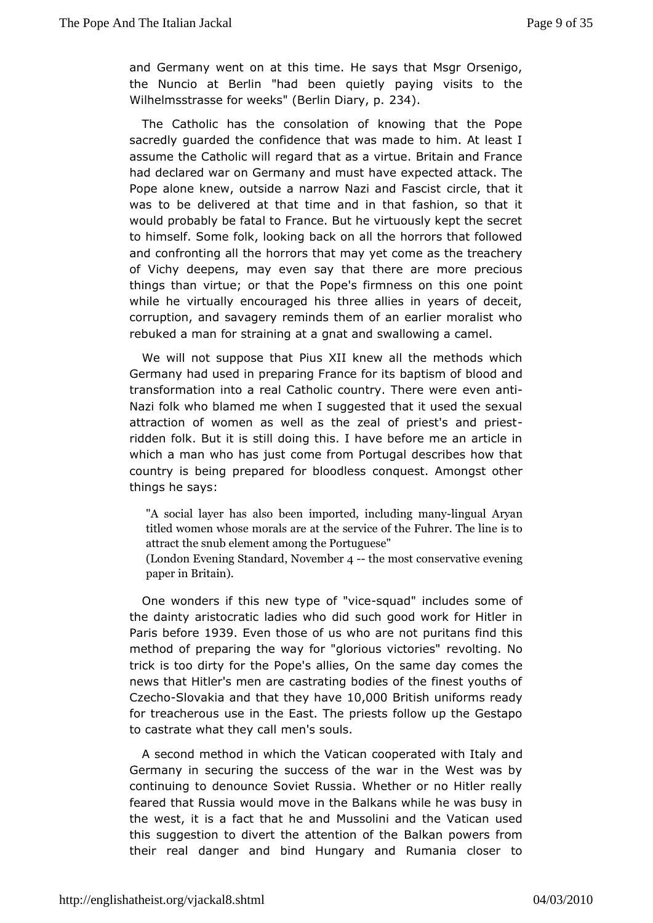and Germany went tchrisatime. He says that Msgr Orsenigo, the Nuncio at Berlin "had beepray quige tuly sits to the Wilhelmsstrasse for weeks" (Ber2Bn4). Diary, p.

The Catholic has the consolation of knowing that the P sacred buarded the confidence that was made to him. At leas assume the Catholiecq will that as a virtue. Britain and France had declared war on Germanyhame mupsetcted attack. The Pope alone knew, outside a narrow Naziircal ad thaascist was to be delivered at that time and in that fashion, so the would probably be fatal to France. But he virtuously kept the to himsessfame folk, looking back on all the horrors that follow and confronting and rthoes that may yet come as the treachery of Vichy deepens, may even the wee that more precious things than virtue; or that the Pope's fiomees posinoth this while he virtually encouraged his three allies in years of d corruption, and savagery reminds them of an earlier moralist rebuked a mian straining at a gnat and swallowing a camel.

We will not supposeiut a XII knew all the methods which Germany had used in preparing Fbapties montits lood and transformation into a real Catholic counery en Tametie were Nazi folk who blamed me when I suggested that it used the  $s_1$ attraction of women as well as the zeal of p-riest's and pr ridden folk. iBus still doing this. I have before me an article which a man who hassomes from Portugal describes how that country is being prepared forc obrigaelses as Amongst other things he says:

"A social layaelnschabseen imported, inclliundgiungal mAtanwayn titled women whose antothads sarrowice of the Fuhrer. The line is attract the snub eleminent  $P$  antong quese" (London Evening SNandants erthe most mservative evening paper in Britain).

One wonders if thitsypheewof "vicquad" includes some of the dainty aristocratic ladies conhogodid work for Hitler in Paris befor  $9.69$  P ven those of us who paure it a quantities find this method of preparing the way for "gloriroeus Itin to thess" trick is too dirty for the Pope's allies, On the heame day com news that Hitler's men are castrating bodies of the finest you Czech Slovakia and that the yo, hoav Beritish uniforms ready for treacherwous in the East. The priests follow up the Gestap to castrate what the  $\psi$  nd albouls.

A second method in which the Vatican coopenadted with Italy Germany in securing the success of the war in the West wa continuing demounce Soviet Russia. Whether or no Hitler real feared that Russiamwoveldn the Balkans while he was busy in the west, it is a fact thall ulrises od indi and the Vatican used this suggestion to divert the atterbalkan op otwiers from their real danger and bind Hungary and Rumania closer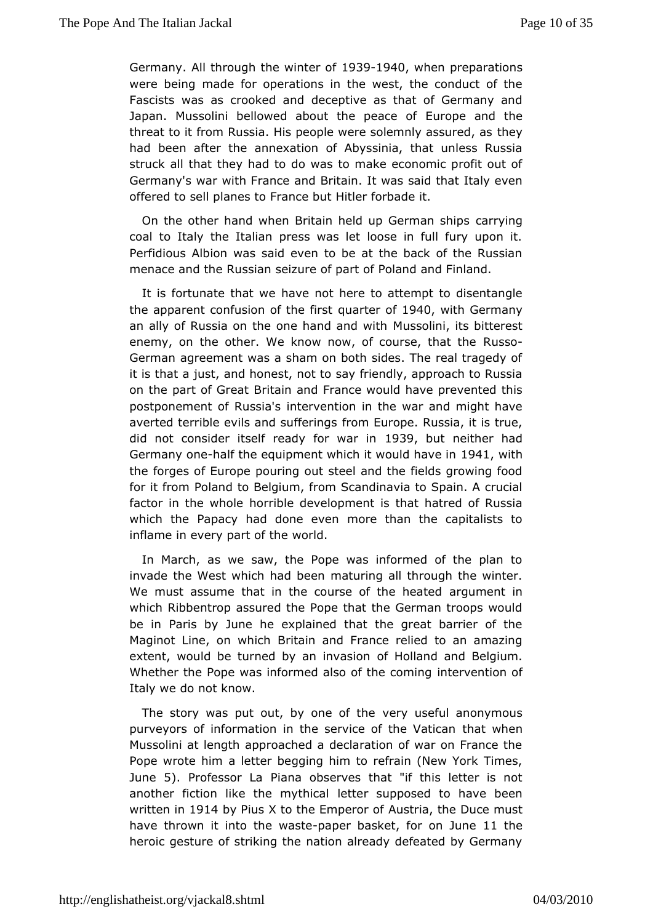Germany All through the wints 23910940 when preparations were being made operations in the west, the conduct of the Fascists was as crook been to decept and that of Germany and Japan. Mussolini bellowed about the urope acanof the threat to it from Russia. His people were sole meryly assured, a had been after the annexation of Abyssinia, that unless  $R_{\perp}$ struck ahlat they had to do was to make economic profit out Germany's war with  $F$ mdn Beitain. It was said that Italy even offered to sell planes to Finalmeareforubtade it.

On the other hand when Britain held up caemyming ships coal to Italy the Italian press was let loose in full fury up Perfidious Albion was said even to be at the back of the Ru menace and Rhusian seizure of part of Poland and Finland.

It is fortunate that we enot here to attempt to disentangle the apparent confusion of quaeter r \$0940 with Germany an ally of Russia on the one hamid sasmodinwithits bitterest enemy, on the other. We know now, of  $\cos\theta$  that the German agreement was a sham on both sides. The real traged it is that just, and honest, not to say friendly, approach to Russian on the part of Gretaatin and France would have prevented this postponement of Russeavsention in the war and might have averted terrible evils and fsofmie Eunropspe. Russia, it is true, did not consider itself ready 1089wbaut imeither had Germany omet the equipment which it would the in the forges of Europe pouring out steel and the fields growing for it from and to Belgium, from Scandinavia to Spain. A cruc factor in the whhorireble development is that hatred of Russia which the Papacy had dome revelman the capitalists to inflame in every part of the world.

In March, we saw, the Pope was informed of the plan to invade the West which had the eng all through the winter. We must assume that in the course out the heated area in the must almost which Ribbentrop assured the Pope that the German troops w be inParis by June he explained that the great barrier of Maginot Line, on Bowhitalin and France relied to an amazing extent, would be turned by amofin hoals amend Belgium. Whether the Pope was informed also brit the coming of Italy we do not know.

The story was put out, by ower of ushed ul anonymous purveyors of information in the service to fatt hwe he Vatican Mussolini at length approached a declaration of war on Franc Popewrote him a letter begging him to refrain (New York Tim June5). Professor Pliana observes that "if this letter is not another fiction like the metter alpposed to have been written 1914 by Pius X to the Empeurs driaf the Duce must have thrown it into the awe astebasket, for ond 1 Jtuhnee heroic gesture of striking the nation already defeated by Ger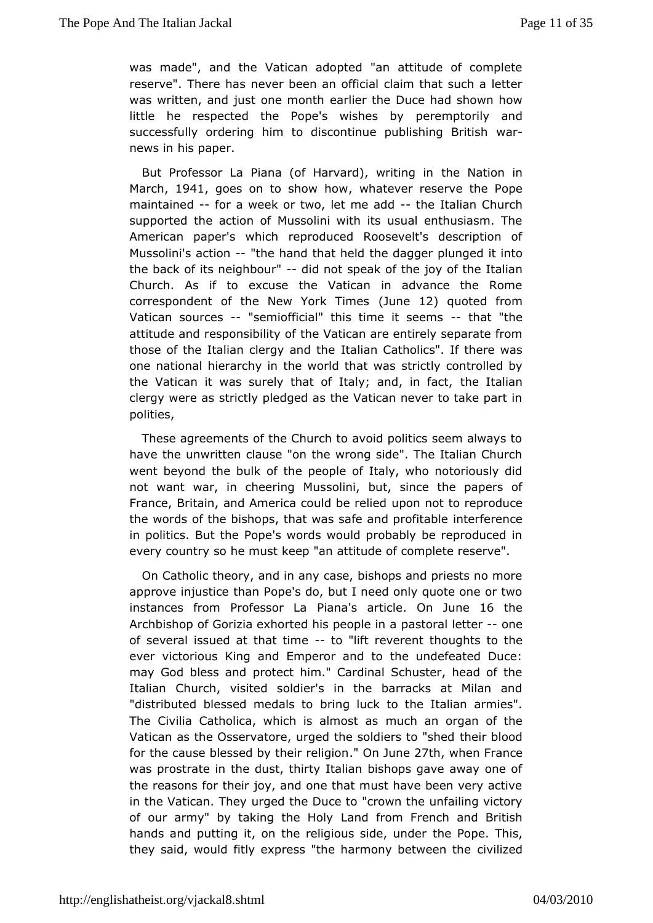wasmade", and the Vatican adopted "an attitude of completed and the Vatican adopted "an attitude of completed reserve". Therenehas been an official claim that such a letter was written, and just one am benth the Duce had shown how  $l$  ittle he respected the Pope's weistemens to by and successfully ordering him to discontinue pwbalishing British news in his paper.

But Professor La Piana (of Harvardt), e whilatting on im March1941 goes on to show whoaw ever reserve the Pope maintaine dior a week or two. let -mteh additian Church supported the aion of Mussolini with its usual enthusiasm. The American paper's wehp conduced Roosevelt's description of Mussolini's actible hand that the dagger plunged it into the back of its neighbold mot speak of by hoef the Italian Church. As if to excuse the Vatican in advance the Ro correspondent of the New Yo(dkun Eiln2) equoted from Vatican souree'ssemiofficial" this time it the em'she attitude and responsithid it Wabifcan are entirely separate from those of the Italian clergy taalminalnt Ceatholics". If there was one national hierarchy in the woshdichlayt awant rolled by the Vatican it was surely that of Italy; thænd talinantact, clergy were as strictly pledged as the Vatican never to take  $|$ polities,

These agreements of the Church to avoid politics seem alwa have the unwritten clause "on the wrong side". The Italian C went beyond bulk of the people of Italy, who notoriously di not want war, in cheleursiaglini, but, since the papers of France, Britain, and America coupob to enoteltice dreproduce the words of the bishops, that was safeinatendformenticteable in politics. But the Pope's words would probably be reproduc every country so he must keep "an attitude of complete reserv

OnCatholic theory, and in any case, bishops and priests no approve injusthian Pope's do, but I need only quote one or two  $in$  stances from Profes $\mathbf B$   $\mathbf b$   $\mathbf a$   $\mathbf a$   $\mathbf a$   $\mathbf b$   $\mathbf b$   $\mathbf b$   $\mathbf b$   $\mathbf b$   $\mathbf b$   $\mathbf b$   $\mathbf b$   $\mathbf b$   $\mathbf b$   $\mathbf b$   $\mathbf b$   $\mathbf b$   $\mathbf b$   $\mathbf b$   $\mathbf b$   $\mathbf b$   $\mathbf b$   $\mathbf b$   $\mathbf b$   $\mathbf b$   $\mathbf b$   $\mathbf b$   $\$ Archbishop of Gorizia exhorted hipsape corpalle lentene of several issued at thatoti"midet reverbent untis to the ever victorious King and Emperor and to the undefeated  $D^+$ mayGod bless and protect him." Cardinal Schuster, head of Italian Church, ited soldier's in the barracks at Milan and "distributed blessed medang tock to the Italian armies". The Civilia Catholica, which is muad mo as the as gan of the Vatican as the Osservatore, urged the solldiers lood"shed for the cause blessed by the  $On$ reling  $\mathcal{C}$  h, when France was prostrate in the dust, thirty Italian bishops gave away o the reaso forms their joy, and one that must have been very active in the Vatican. uriged the Duce to "crown the unfailing victory of our army" by taking then Hoffwom French and British hands and putting it, on the religiouts esside peund bis, they said, would fitly express "the harmony between the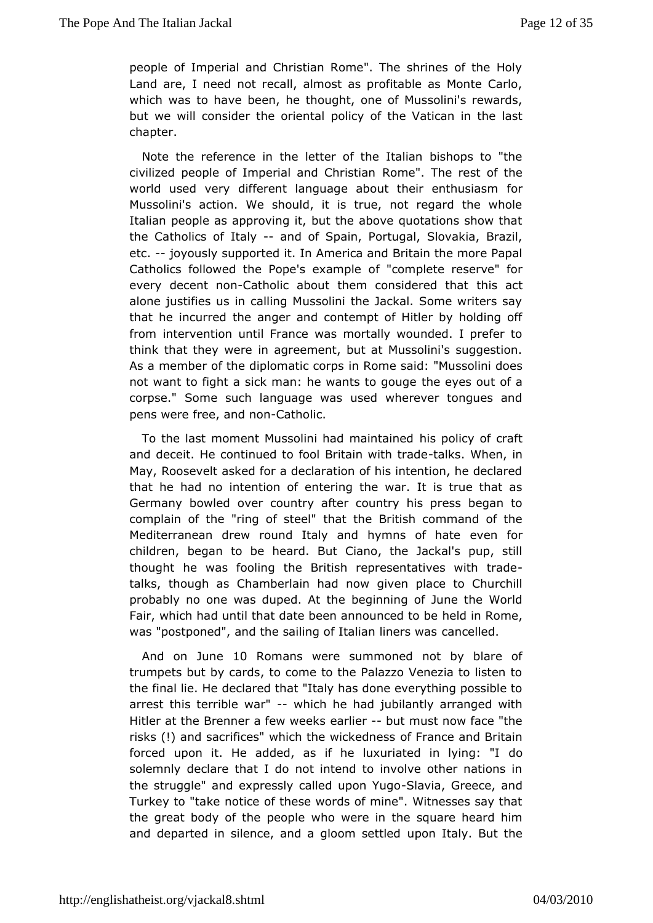people of Imperial and Christian Rome". The shrines of the Landare, I need not recall, almost as profitable as Monte  $C_i$ which was to have en, he thought, one of Mussolini's rewards, but we will consider the orine with the Vatican in the last chapter.

Note the reference lient tehre of the Italian bishops to "the civilized people of Imperial anrdomother is Timan rest of the world used very different language about their enthusiasm Mussolini's action. We should, it is true, not regard the v Italiameople as approving it, but the above quotations show t the Catholics tad f e and of Spain, Portugal, Slovakia, Brazil, etc.-joyously supported America and Britain the more Papal Catholics followed the Pope's e complete reserve" for every decent-Chaottholic about them consid**ehiesd atchat** alone justifies us in calling Mussolini the Jackal. Some write that he incurred the anger and contempt of Hitler by holdin fromintervention until France was mortally wounded. I prefer think that they ime agreement, but at Mussolini's suggestion. As a member of the diplomantion compesaid: "Mussolini does not want to fight a sick man: he wathts eyegsouge of a corpse." Some such language was used wherever tongues penswere free, and Craotholic.

To the last moment Mussolini hadhimsapmodached f craft and deceit. He continued to fool Brittaailnk s. White ht, raide May, Roosevelt asked for a declaration of his intention, he de that he had no intention of entering the war. It is true that Germany bowded country after country his press began to complain of the "ring othe astet that British command of the Mediterranean drew round Italy and hymen offorhate children, began to be heard. But Ciano, the Jackal's pup, thoughhe was fooling the British representatives with trad talks, though Chamberlain had now given place to Churchill probably no one was dupede. Glinning of June the World Fair, which had until that date been amedulation and other be was "postponed", and the sailing of Itaclan allinendrs was

And on June Romans were summoned not by blare of trumpets by cards, to come to the Palazzo Venezia to lister the final liedeld bared that "Italy has done everything possible t arrest this terrible which he had jubilantly arranged with Hitler at the Brenner a few r weekst must now face "the risks (!) and sacrifices" which the fwFincak needen easned Britain forced upon it. He added, as if he luxuriatded in lying: "I solemnly declare that I do not intend to involve other natio thestruggle" and expressly called Sulpon YGgoece, and Turkey to "tracketice of these words of mine". Witnesses say that the great body of the wpheoopwiere in the square heard him and departed in silence, and a glupcom steatity edBut the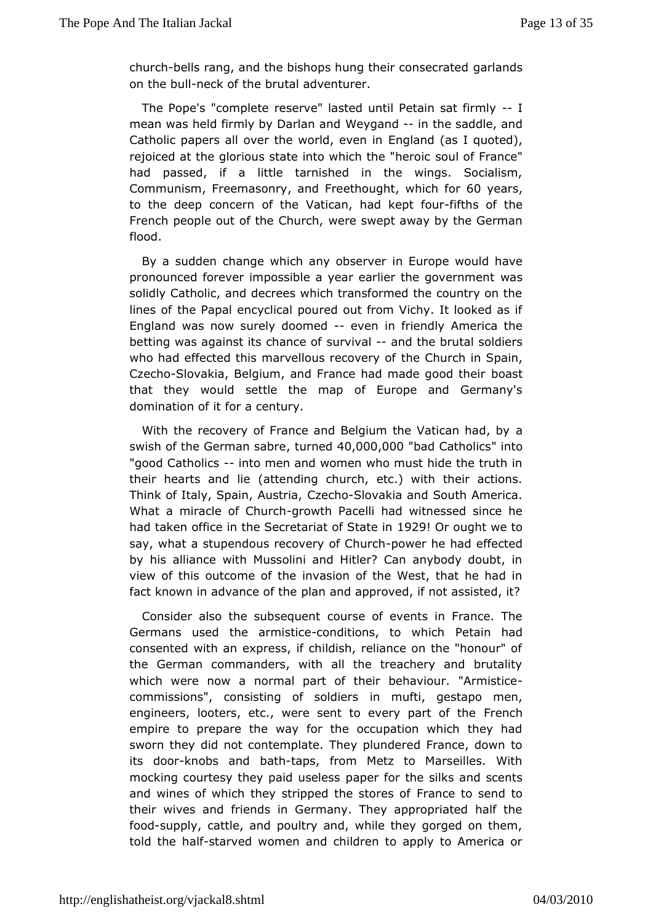churchells rang, and the bishops hung theogram subsecrated on the bublck of the brutal adventurer.

The Pope's "commelseet eve" lasted until Petain-slat firmly mean was held firmly by  $D$  a which a parading the saddle, and Catholic papers all over the worth  $\alpha$ , and  $\alpha$  as I quoted), rejoiced at the glorious state into whsolulthole Fhæmoec" had passed, if a little tarnished in the wings. Sociali Communism reemason and Freethoughtch for years to the deep conccfertmie Vatican, had ket pftthfs our fthe French people out of thew Chrheunsowhept away by the German flood.

By a sudden change which any no bae oper would have pronounced forever impossible a year earlien the government solidly Catholic, and decrees which transformed the country on lines offie Papal encyclical poured out from Vichy. It looked a England was sow wely doomed ven in friendly America the betting was against its shuanic vealed find the brutal soldiers who had effected this marvellousthe conterphoin Spain, Czech Solovakia, Belgium, and France had mab doeas to od their that they would settle the map of Europe and Germany domination 66 rita century.

With the recovery of France and Belgium the aVatican had, swish of the Germant sarbe  $60,000,000$  ad Cathollins to "goodCatholic-sinto men and women who must hide the truth in their hearts an (at the nding church, etc.) with their actions. Think of Italy, Spain, CAzuescth Selovakia and South America. What a miracle of -@howth Pacelli when the ssed since he had taken office in the Secretari a 0 209 OS bautoph tnwe to say, what a stupendous recoverpoon eChuer dhad effected by his alliance with Mussolini and Hitler? Can anybody doub view of thoust come of the invasion of the West, that he had i fact known in advancelent tahed approved, if not assisted, it?

Consider also the subsequeent of events in France. The Germans used the armoinstilictions, to whetch in had consented with an express, if childish, reliance on the "hono the German commanders, with all the treachery and bruta which were now o a nal part of their behaviour. "Armistice commissions", consisting ofinsorholifetis gestapo men, engineers, looters, etc., were sent to every enpeant of the empire to prepare the way for the occupation which they sworn theyd not contemplate. They plundered France, down t its do-whobs anwathtaps, from Metz to Marseilles. With mocking courtesy they paid a perior the silks and scents and wines of which they stripped the means of and to their wives and friends in Germany. They appropriated half foodsupply, cattle, and poultry and, while they gorged on the told theal-fstarved women and children to apply to America or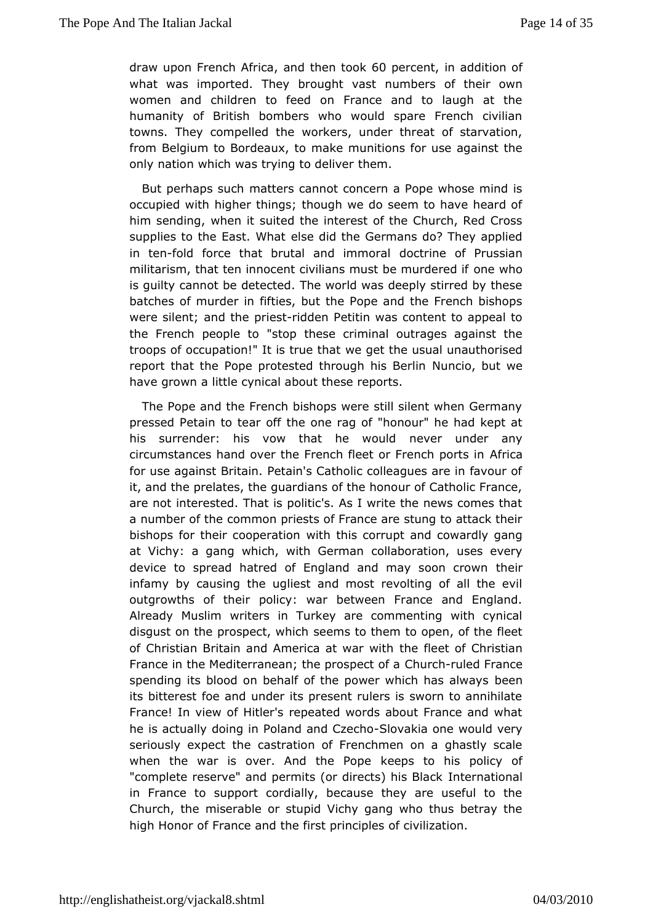draw upon French Anfrodictahen toGo0kpercenith addition of what was imported. They broungulm beast of their own women and children to feed on France and to laugh at t humanity of British bombers who would spare French civil towns. They mpelled the workers, under threat of starvation from Belgium to Bordemaake trounitions for use against the only nation which was trying them.eliver

But perhaps such matters cannot concern a Pope whose mir occupied with higher things; though we do seem to have heard him sending, en it suited the interest of the Church, Red Cross supplies to the East. I s will the Germans do? They applied in te-fiold force that brutal and dimothroimeal of Prussian militarism, that ten innocent civilians musd nbee whole red if is quilty cannot be detected. The world was deeply stirred by batches of murder in fifties, but the Pope and the French bi were silean;d the pr-iredden Petitin was content to appeal to the French peopletdp these criminal outrages against the troops of occupation!" It is werget that usual unauthorised report that the Pope protested throun his Boardin ve have grown a little cynical about these reports.

The Poped the French bishops were still silent when Germa pressed Petain to ttehær oonfe rag of "honour" he had kept at his surrender: his vow that heever ould nder any circumstances hand over the French fleet oAfFricanch ports in for use against Britain. Petain's Catholic colleagues are in fa it, and the prelates, the guardians of the honour of Catholic F are not terested. That is politic's. As I write the news comes a number of ctohmemon priests of France are stung to attack their bishops for their coopweithation is corrupt and cowardly gang at Vichy: a gang which, with collean to a ation, uses every device to spread hatred of England and malyeisoon crown infamy by causing the ugliest and most revolting of all the outgrowths of their policy: war between France and Engla Already Muswimiters in Turkey are commenting with cynical disgust on the prospecste ewhisc to them to open, of the fleet of Christian Britain and Americathe where twith Christian France in the Mediterranean; the  $\beta$  hous providend farance spending its blood on behalf of the power where has always its bitterest foe and under its present rulers is sworn to ann France! In view of Hitler's repeated words about France and he is actual bliyng in Poland and Sil beraktion one would very seriously expectashteation of Frenchmen on a ghastly scale when the war is over. And these presonte his policy of "complete reserve" and permits (or direntts) haits ob adck in France to support cordially, because they are useful to Church, the miserable or stupid Vichy gang who thus betray high Honof roance and the first principles of civilization.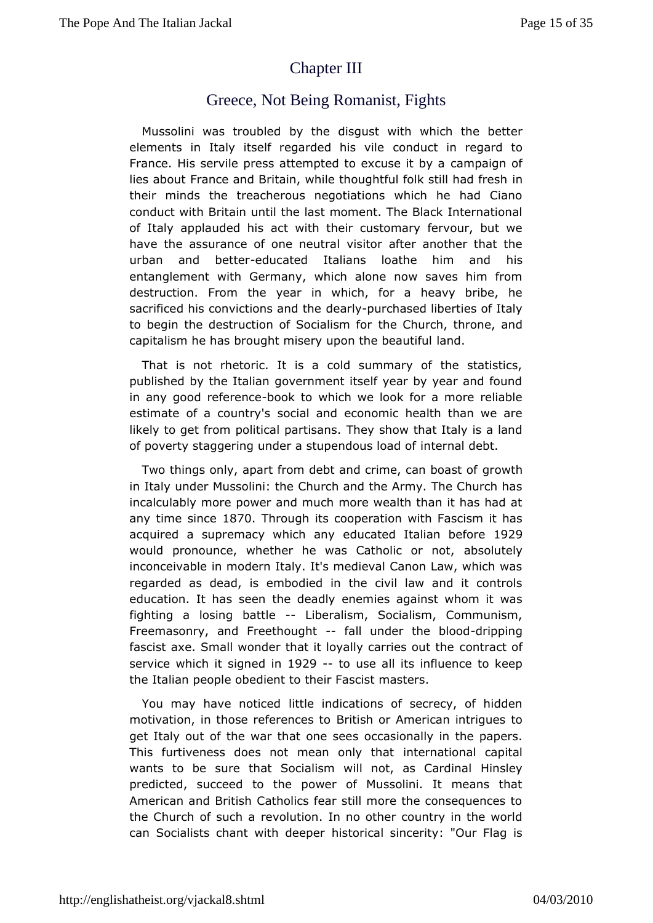# **[ChapterIII](http://englishatheist.org/vjackal8.shtmlChapter)**

## Greece, Not Being Romanist, Fights

Mussolini was trobublehde disqust with which the better elements in Italy itself regarded ndusctvine regard to France. His servile press attempted to caxnequasing nitolby a lies about France and Britain, while thoughtfulinolk still had i their minds the treacherous negotiations which he had Ci conduct wBthitain until the last moment. The Black Internation of Italy applaudead cthiws ith their customary fervour, but we have the assurance of one is night at rankler another that the urban and bestudeurcated Italians loathe hilmis and entanglement with Germany, which alone now saves him fr destruction. Fthoum year in which, for a heavy bribe, he sacrificed his convictions be an to uthe hased liberties of Italy to begin the destruction of SothealCshourtoh, throne, and capitalism he has brought misery upomanhde beautiful

That is not rhetoric. It is a cold summary of the statist published by the Italian government itself year by year and i in any gomedferen-book to which we look for a more reliable estimate of a cousnot cy and economic health than we are likely to get from political Tphaenytishow that Italy is a land of poverty staggering under a stupe mdeus allode bof

Two things only, apart from debt and crimoer, ownahm boast of in Italy under Mussolini: the Church and the Army. The Churc incalculably more power and much more wealth than it has ha any time sim 8 0 Through its cooperation with Fascism it has acquired a supremacy whedbucaneyd Italian ble9f2o9e would pronounce, whether he was Cathadolis oluctrely not, inconceivable in modern Italy. It's medieval Canon Law, whic regarded as dead, is embodied in the civil law and it con education. It sheæsn the deadly enemies against whom it was fighting a losing b-attilbeeralism, Socialism, Communism, Freemasonry, and Freethofaght under bheo-dripping fascist axe. Small wonder that it loyally contracts out the service which it signe  $Q_0$ -ino use all its influence to keep the Italian people obedient to their Fascist masters.

You may have not ittled indications of secrecy, of hidden motivation, in those referentiests to and American intrigues to get Italy out of the war thato occasisce reasily in the papers. This furtiveness does not meanindervatheandal capital wants to be sure that Socialism will notlinassley Cardinal predicted, succeed to the power of Mussolini. It means American aBrudtish Catholics fear still more the consequences the Church of suehobution. In no other country in the world can Socialists chant withisdtone poearl sincerity: "Our Flag is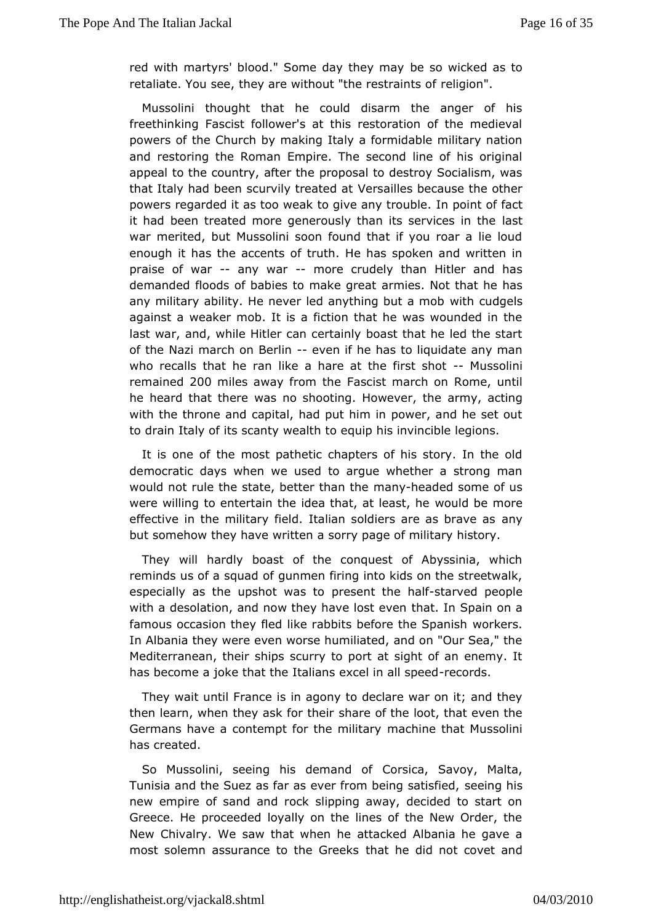red with martyrs' blood." Some dabyethey wincakyed as to retaliate. You see, they are without "the linge shart aints of

Mussolini thought that he could disarm the anger of h freethinking Fascist follower's at this restoration of the me powers bife Church by making Italy a formidable military nation and restoring the Ecompane. The second line of his original appeal to the country, **after othack** to destroy Socialism, was that Italy had been scurvily Meesaied eat because the other powers regarded it as too weak to givlen apnovinttropul bflaect it had been treated more generously than its as ervices in the war merited, but Mussolini soon found that if you roar a lie enough has the accents of truth. He has spoken and written praise of waany war-more crudely than Hitler and has demanded floods of babies to anrankiee sqreAbatt that he has any military ability. He never led anythwinton bound gae hosob against a weaker mob. It is a fiction that he was wounded in last war, and, while Hitler can certainly boast that he led the of the Nazi march on Beel winn if he has to liquidate any man who recalls that a hare at the first ushotinity and  $\mathbf{v}$ remaine 2d00 miles away from Fatshoeist march on Rome, until he heard that there was no shooting. a to a we use timinge with the throne and capital, had put him in power, and he set to drain Italy of its scanty wealth to equip his invincible legic

It isone of the most pathetic chapters of his story. In the democratic days we eensed to argue whether a strong man would not rule the state, betteran hy haven a direed some of us were willing to entertain the idea thawtpualtd lbest, ohee effective in the military field. Italian soldiers are as brave but somehow they have written a sorry page of military histor

Theywill hardly boast of the conquest of Abyssinia, whi reminds us of a sqquand moeth firing into kids on the streetwalk, especially as the upshop resentothe -shalf ved people with a desolation, and now they hawatlost Spann on a famous occasion they fled like rabbits before the Spanish In Albania they were even worse humiliated, and on "Our Sea, Mediterranean, their ships scurry to port at sight of an ener has become beethat the Italians excel in each rotspeed

They wait until Fisance egony to declare war on it; and they then learn, when they asks hoar ethoefinthe loot, that even the Germans have a contempt for the achiliteathat Mussolini has created.

So Mussolini, seeing his demoassichaof Savoy, Malta, Tunisia and the Suez as far as ever fromsbeing basisfied, new empire of sand and rock slipping away, decided to star Greece. He proceeded loyally on the lines of the New Order New Chivalry. saw that when he attacked Albania he gave a most solemn assurance to the a G rheek dsid not covet and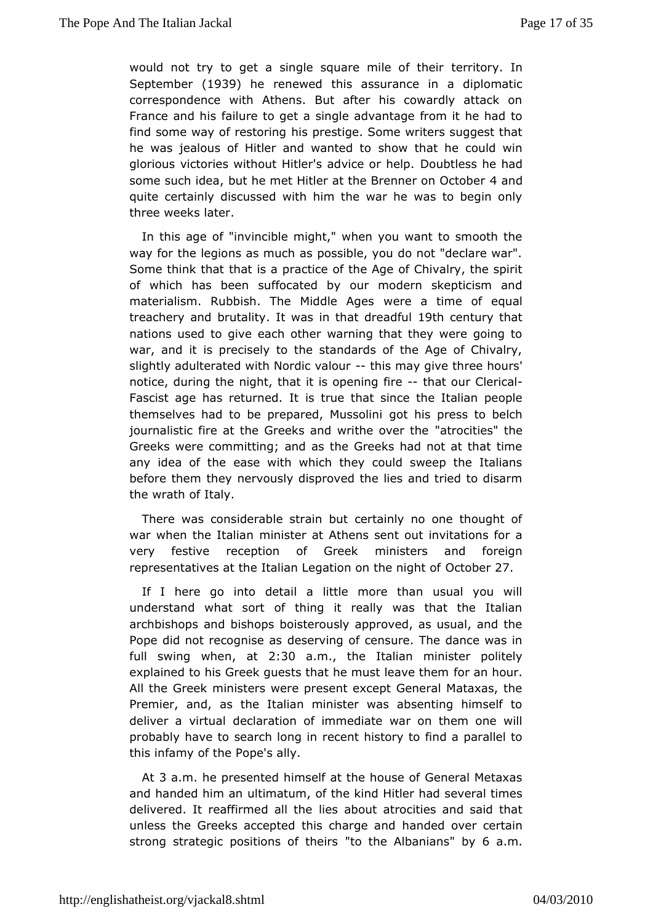would not try to get a single square tmeritetoorly.their Septembet 1939 he renewed this assurance in a diplomatic correspondence with Athens. But after his cowardly attack France and faibure to get a single advantage from it he had to find some way of rebis rping stige. Some writers suggest that he was jealous of Hitler and swhaomwetch ato he could win glorious victories without Hitler's addowidelesshbephad some such jobela he met Hitler at the Brenner 4 and October quite certainly discussed with him the war he was to begin three weekster.

In this age of "invincible might," when you want to smooth wayfor the legions as much as possible, you do not "declare  $\cdot$ Some think the attis a practice of the Age of Chivalry, the spirit of which has beeuefinocated by our modern skepticism and materialism. Rubbish. The Midwollnee Aagetsme of equal treachery and bruital witays in that dreia exchitation that nations used to give each other warning that they were goir war, and it is precisely to the standards of the Age of Chi slight and ulterated with Nordic thai bounnay give three hours' notice, during nitghlet, that it is openintigh aftiroeur Clerical Fascist age has returned that since the Italian people themselves had to be prepared gown unsissol piness to belch journalistic fire at the Greeks and w'atthecotvies" thee Greeks were committing; and as the Greeks had not at that any idea of the ease with which they could sweep the Ital before them the envously disproved the lies and tried to disarm the wrath of Italy.

Therewas considerable strain but certainly no one thought war when the It**a**liimainster at Athens sent out invitations for a very festive reception of menistellers and foreign representatives at the Italian Legation Coont ot bo erraight of

If I here go into detail a little more than usual you v understand what sort of thing it really was that the Ital  $archbishops$  bairs dops boisterously approved, as usual, and the Pope did not recogniessee ravaing of censure. The dance was in full swing whæt m2:30 am., the Italian minister politely explained to his Greek guests that he mfworstalmeahvoeuthem All the Greek ministers were present except General Mataxas Premier, and, as the Italian minister was absenting himself deliver a virdealaration of immediate war on them one will probably have to search elcoenry timistory to find a parallel to this infamy of the Pope's ally.

At3 a.m. he presented himself at the house of General Meta and handed himaltimatum, of the kind Hitler had several times delivered. It reaffirmediesl at the ut atrocities and said that unless the Greeks accepted this hoahnad regoder certain strong strategic positions" toof tithee iAs ban" iby so a.m.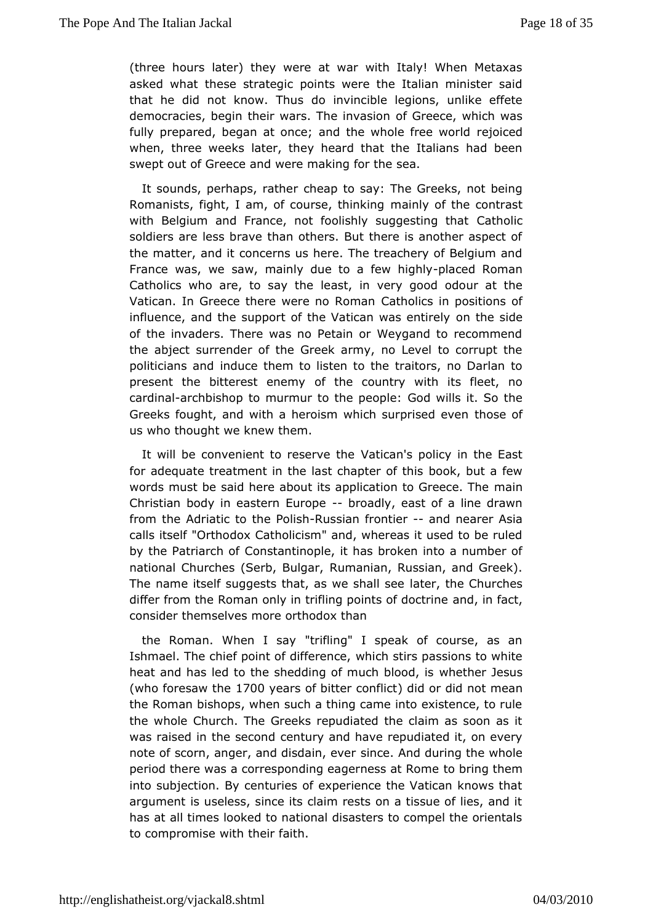(three hours later) they were at war with Italy! When Meta asked what tese strategic points were the Italian minister sa that he did not know.do Thusincible legions, unlike effete democracies, begin their wars. To the Gime we assession which was fully prepared, began at once; and the wheleidede world when, three weeks later, they heard that the Italians had t swepout of Greece and were making for the sea.

It sounds, perhaps, cheat he rio say: The Greeks, not being Romanists, fight, I am, of coursmeainthy inotinidate contrast with Belgium and France, not foolishly sugget the that soldiers are less brave than others. But there is another asp thematter, and it concerns us here. The treachery of Belgium France was, sww, mainly due to a few languly Roman Catholics who are, to see ay stihe in very good odour at the Vatican. In Greece there were CracthRobimosamin positions of influence, and the support of the Vatic**an was senderely** of the invaders. There was no Petain or Weygand to recomm theabject surrender of the Greek army, no Level to corrupt politicians iannd thee them to listen to the traitors, no Darlan t present the bitterest cefneting country with its fleet, no cardinal chbishop to murmur to the soce apilles it. So the Greeks fought, and with a heroism which tshuorsperioled even us who thought we knew them.

It will be convenient to re et atione anthee policy in the East for adequate treatment in the last cbepkerbouft tahifsew words must be said here about its applicatiomato Greece. The Christian body in eastern- Enorapoley, east of a line drawn from theadriatic to the -Rodissinan frontiæmd nearer Asia calls its"@Ifthodox Catholicism" and, whereas it used to be rul by the Patriar Chonositantinople, it has broken into a number of national Churches (SerbRuBnu anguan, Russian, and Greek). The name itself suggests that, as lateers, halle sceheurches differ from the Roman only in trifling poaimeds ionf foboodtrine consider themselves more orthodox than

the Roman. When l'tsialying" I speak of course, as an Ishmael. The chief point of **w** hifteer esticles, passions to white heat and has led to the shedding of mwuhcehthbelrodelsus (who foresaw 1th  $0$  years of bitter  $\phi$  dindlict did mean the Roman bishops, when such a thing came into existence, to the wholehurch. The Greeks repudiated the claim as soon as was raised in the seadundy and have repudiated it, on every note of scorn, anger, and disdmade, A wearduring the whole period there was a corresponding eagetron besing tt Romme into subjection. By centuries of experience the Vatican know argument is useless, since its claim rests on a tissue of lies has adll times looked to national disasters to compel the orie to compromwsth their faith.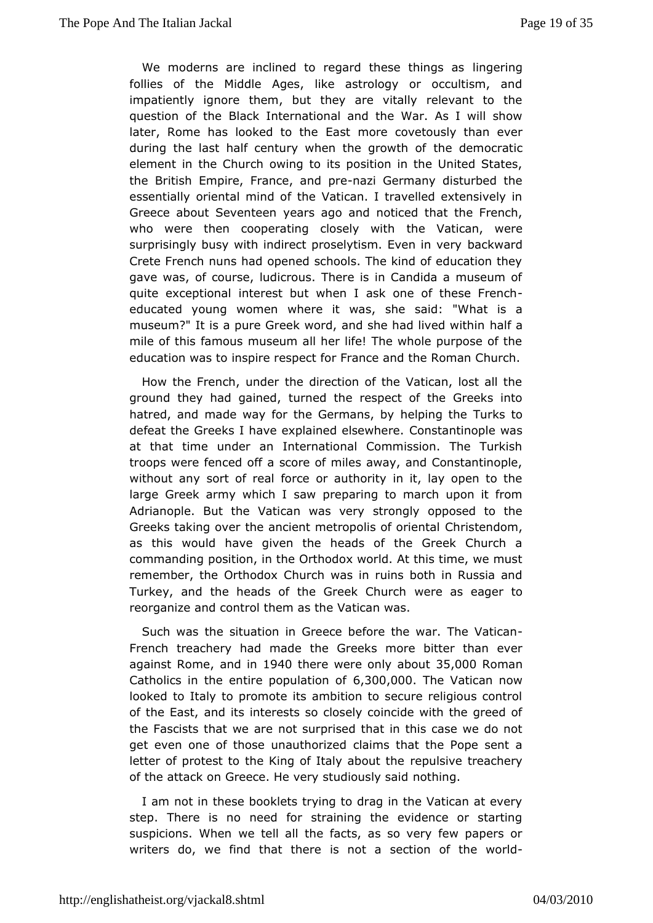We moderns are inclined to regard the sime  $g$  as follies of the Middle Ages, like astrology or occultism, impatiently ignore them, but they are vitally relevant to question of **B** haeck International and the War. As I will show later, Rome has looked East theore covetously than ever during the last half century when the heg doewntohc roaftic element in the Church owing to its position in the United St the British Empire, Francenazind Germany disturbed the essentiadhy ental mind of the Vatican. I travelled extensively Greece about Seveynet a responsion and noticed that the French, who were then cooperating closhedy Vwaith an, were surprisingly busy with indirect proselytisbrac Ewendin very Crete French nuns had opened schools. The kind of education gavewas, of course, ludicrous. There is in Candida a museun quite exceptiomtælrest but when I ask one of these French educated young women whereshie wsaasd: "What is a museum?" It is a pure Greek word, and she haald aived within mile of this famous museum all her life! The whole purpose of education was to inspire respect for France and the Roman Ch

How therench, under the direction of the Vatican, lost all ground they had gaunaed the respect of the Greeks into hatred, and made way for the Genemipaimsg, this Turks to defeat the Greeks I have explained on steawhim engele was at that time under an International Commission. The Turk troops were fenced off a score of miles away, and Constantin without asgrt of real force or authority in it, lay open to the large Greek army whawh pireparing to march upon it from Adrianople. But the Vatican swip as a guide to the Adrianople. Greeks taking over the ancient metrop Christendom, tal as this would have given the heads of the Greek Church commandiposition, in the Orthodox world. At this time, we mu remember, the OrthCchducrxch was in ruins both in Russia and Turkey, and the heads of the Greweek e Charchager to reorganize and control them as the Vatican was.

Such was e situation in Greece before the war. The Vatical French treachery had the addereeks more bitter than ever against Romaned in1940 there were only 345,000 0Roman Catholics in the entire popeu,  $3a0\log 0.0$  . The Vatican now looked to Italy to promote its ambition to secure religious c of the Easted its interests so closely coincide with the greed the Fascists that weet as uerprised that in this case we do not get even one of those una**athiom**iszed at the Pope sent a letter of protest to the King of Italby allsowe the achery of the attack on Greece. He very studd hously said

I am not in these booklets trying to drag in the Vatican at  $\epsilon$ step. There is no need for straining the evidence or stall suspicions. Wwheentell all the facts, as so very few papers or writers do, we find thaits the tea section of the world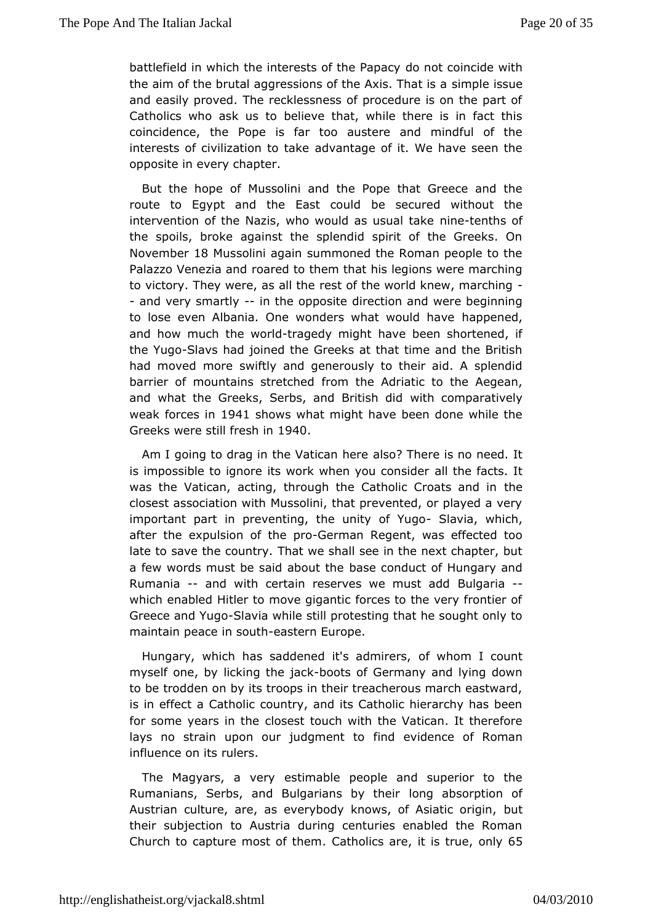battlefield in which the interests  $\boldsymbol{\delta}$  to the Papacide with the aim of the brutal aggressions of the simple in That is a and easily proved. The recklessness of procedure is on the part of Catholics who ask us to believe that, while there is in factorate. coincidendae Pope is far too austere and mindful of the interests of civilization dtwantak  $\mathbf{g}$ e of it. We have seen the opposite in every chapter.

But the howe Mussolini and the Pope that Greece and the route to Egypt and the Easte coordidited without the intervention of the Nazis, who would maisnetuss nuttalls take the spoils, broke against the splendid spirit of the Greeks November 8 Mussolini again summoned the Roman people to the Palazzo Venezimco annedd to them that his legions were marching to victory. They were, as sall of the e world knew, marching - and very sma-r-tilmy the oppoditection and were beginning to lose even Albania. One wonders whahta puppeun edhave and how much the-twagleddy might have been shortened, if theYugoSlavs had joined the Greeks at that time and the Briti had moved moweiftly and generously to their aid. A splendid barrier of mountains stfrom the helde Adriatic to the Aegean, and what the Greeks, Serbs, and wBtthit insom plact a tively weak forces 941 shows what might have been done while the Greeks were still fr@40 in

Am I going to drag in the Vaalsa h heere is no need. It is impossible to ignore its work whem ly other constider it was the Vatican, acting, through the Catholit the Croats and in closest association with Mussolini, that prevented, or played important part in preventing, the un**Sthavoia**, Ywygoch, after the expulsion of the Geprimo an Regent, was effected too late to save the cothrattrywe shall see in the next chapter, but a few words must be said **baset conneduct of Hungary and** Rumania- and with certain reserves we Boulgariaadd which enabled Hitler to move gigantic forces to the very fron Greece and YOulgaoia while still protesting that he sought only t maintaineace in soeuat stern Europe.

Hungary, which has saddened it's fawd mamers, count myself one, by licking-boots of Germany and lying down to be trodden on by its troops in their treacherous march east is in effac $\mathbb C$  atholic country, and its Catholic hierarchy has be for some years ind thest touch with the Vatican. It therefore lays no strain upon our jud giment evticlence of Roman influence on its rulers.

The Magyars, a exetrivenable people and superior to the Rumanians, Serbs, and Bulgarians by abbeoimption of Austrian culture, are, as everybody knows, but Asiatic origin their subjection to Austria during centuries enabled the Roman Church toapture most of the minics, at eis trucenly65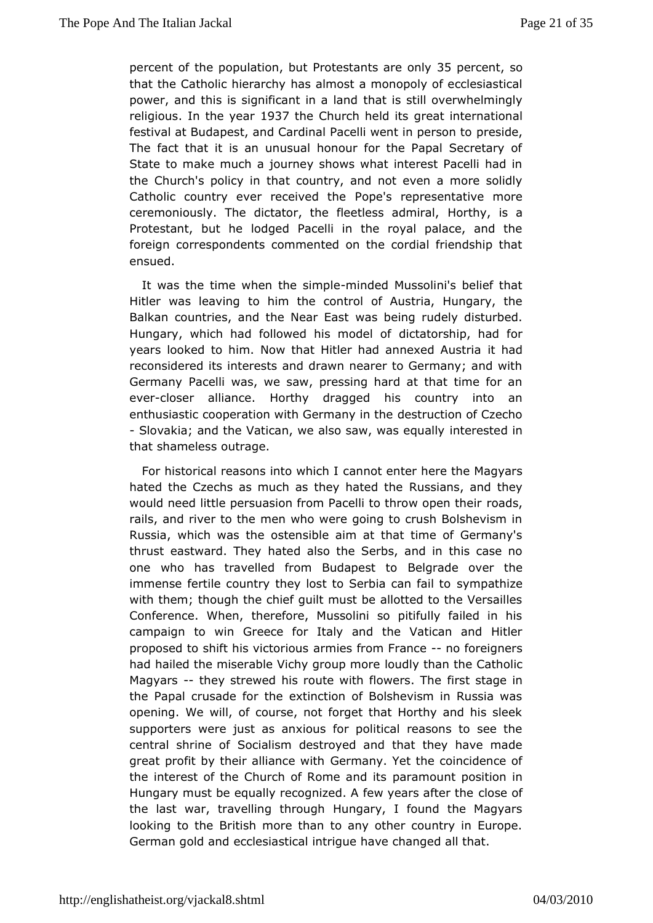percent of  $\phi$  be ulatidonut Protestants are  $\frac{1}{2}$  one lnce. not only be used as a reading the condition of  $\frac{1}{2}$ that the Catholic hibas rahmost a monopoly of ecclesiastical power, and this is significant that is latribly overwhelmingly religious the vease 37the Church held relational reflectional festival at Budapest, and Cardinal Pacelli pwestidion, person to The fact that it is an unusual honour for the Papal Secreta Stateo make much a journey shows what interest Pacelli had the Church's polibaticountry, and not even a more solidly Catholic country ever rece Pope's the epresentative more ceremoniously. The dictator, the fleeHestshyadmsiral, Protestant, but he lodged Pacelli in the royal palace, and foreign correspondents commented on the cordial friendship ensued.

It was the time when the-msimodpelde Mussolini's belief that Hitler was leatwing im the control of Austria, Hungary, the Balkan countries, and the Wearb Ee arst rudely disturbed. Hungary, which had followed hisdicated being had for years looked to him. Now that Hitler had anneaded Austria reconsidered its interests and drawn nearer to Germany; and German Pacelli was, we saw, pressing hard at that time for eve-closer allianderthy dragged his country into an enthusiastic cooperation with Gedmastry dinict the of Czecho - Slovakia; and the Vatican, we also sain, tew as tequianlly that shameless outrage.

For historical reasons in tam wholtclenter here the Magyars hated the Czechs as much as the Ruls as in and they would need little persuasion from Pacelli tordadosw open their rails, and river to the men who were going to crush Bolshevi Russia, hich was the ostensible aim at that time of Germany thrust eastward. hTalted also the Serbs, and in this case no one who has travelled from  $B$ u $B$  applement over the immense fertile country they lost to Sestymapathmizenil to with them; though the chief guilt must be allotted to the Vers Conference. When, therefore, Mussolini so pitifully failed campaign won Greece for Italy and the Vatican and Hitler proposed to shift his vactmone suffsom Framode foreigners had hailed the miserable Vichy Ignuadulp the Cannes Catholic Magyar-sthey strewed his route with flow ween satally cannot the Papal crusade for the extinction of Bolshevism in Russi opening. We will, of course, not forget that Horthy and his supportewere just as anxious for political reasons to see t central shrin Soctialism destroyed and that they have made great profit by their alli $\mathbf{\hat{s}}$  meromanith Yet the coincidence of the interest of the Church of Romanearanod nitt sposition in Hungary must be equally recognized. A few clypes are sofafter the the last war, travelling through Hungary, I found the Magy lookingo the British more than to any other country in Europ German gold eacnodesiastical intrigue have changed all that.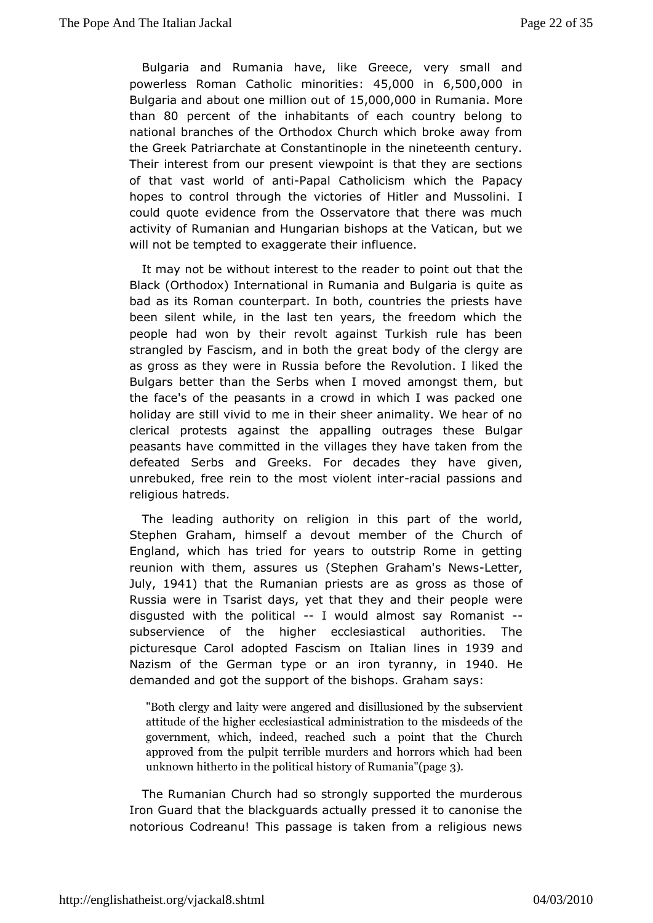Bulgaria and Rumania lihk ave Greece, very small and powerless Roman Catholic : m4i 5.000 t0iens 6,500,000 m Bulgaria and about one milli $\mathfrak{so},0$  @  $\mathfrak{so},t0$  of Ruman Whacher than80 percent of the inhabitants of each country belong national branohethe Orthodox Church which broke away from the Greek Patriarc Comesteat ntinople in the nineteenth century. Their interest from ourvpewpemet is that they are sections of that vast world - Pfapaan ti Catholiculism oh the Papacy hopes to control through the victories of Hitler and Mussol could quote evidence from the Osservatore that there was n activity Poutmanian and Hungarian bishops at the Vatican, but  $v$ will not be temptexchagerate their influence.

It may not be without interest to the peoirnetader that the Black (Orthodox) International in Rumania quite Bausigaria is bad as its Roman counterpart. In both, countries the priests beensilent while, in the last ten years, the freedom which people had wonthby revolt against Turkish rule has been strangled by Fascism, and igreath bolder of the clergy are as gross as they were in RussiaR doved burteiotrhel liked the Bulgars better than the Serbs when I moved bamhongst them, the face's of the peasants in a crowd in which I was packed holiday astell vivid to me in their sheer animality. We hear of clerical protests and the appalling outrages these Bulgar peasants have committed illagtes they have taken from the defeated Serbs and Greeks. For dehcandees gitcheeny, unrebuked, free rein to the most-waclehtparstseins and religious hatreds.

The leading authority on religion in thiws opladet of the Stephen Graham, himself a devout member of the Church England, whhas tried for years to outstrip Rome in getting reunion with them, assures us (Stephen Graham's News -Letter, July 1941 that the Rumanian priestgrase as those of Russia were in Tsarist days, yet that they wedetheir people disgusted with the politiwaluld almost say Romanist subservience the higher ecclesiastical authorities. The picturesque Carol adoptedomFalstails am line1s9 38 and Nazism of the German type or an iron 1940ah ey, in demanded and got the support of the bissagss. Graham

"Both clergy and laity were angered than ds udbissiel and and by attitude of the higher ecclesiastical mad do ine idsstration to the government, which, indeed, reached such unachpoint that the Church approved from the pulpit terrible murders and horrors which unknown hitherto in the political hist $\mathbf{\hat{s}}$ y of Rumania"(page

The Rumanian Church had so strongly supported the murder Iron Guard that the blackguards actually pressed it to canoni notoriouCsodreanu! This passage is taken from a religious ne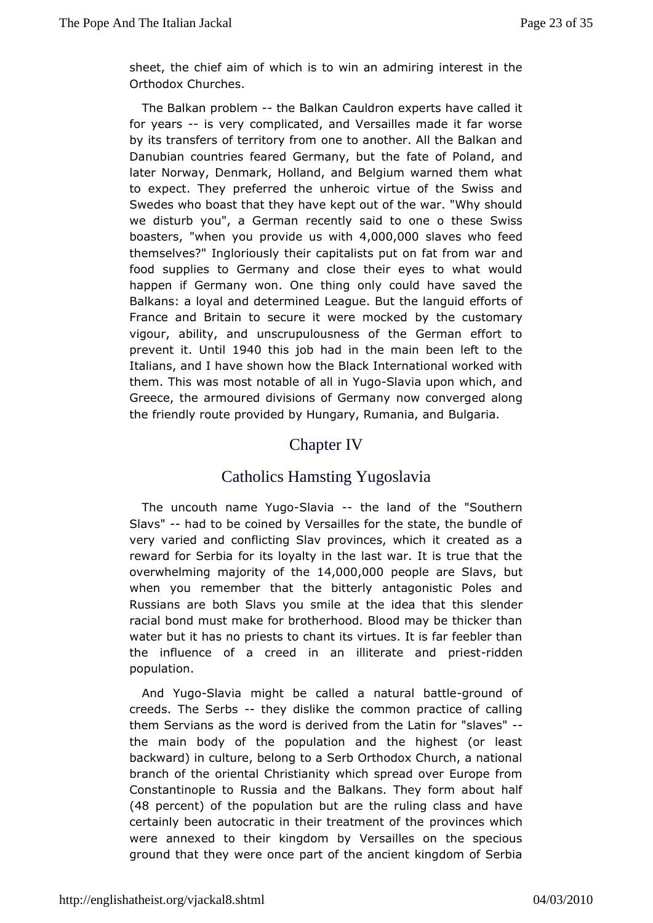sheet, the chief awihmicultis to win an admiring interest in the Orthodox Churches.

The Balkpamoblem-the Balkan Cauldron experts have called it for yearsis vergomplicated, and Versailles made it far worse by its transfers of territogney tfor oarm other. All the Balkan and Danubian countries feared Germafrayte bouft Ribband, and later Norway, Denmark, Holland, and Belgium warned them w to expect. They preferred the unheroic virtue of the Swiss Swedes who bthe ast they have kept out of the war. "Why should we disturb you", a Greercome annily said to one o these Swiss boasters when you provide ust, wo the 0solaves who feed themselves?" Ingloriously their capitalists puatnon fat from war food supplies to Germany and close their eyes to what wo happen Gfermany won. One thing only could have saved the Balkans: a loyal and determing inneed But the languid efforts of France and Britain to secure it whey ethneo clustomary vigour, ability, and unscrupulousness of the German effor prevent. Until1940 this job had in the main been left to the Italians, and vie shown how the Black International worked with them. This was most obtaalblen YSalgaovia upon which, and Greece, the armoured divisions **now commany** ged along the friendly route provided by Hungary, B.Ralugmanaina, and

## Chapter IV

## Catholics Hamsting ugoslavia

The uncouth name-SYNavaica-the land of the "Southern Slavs-"-had to be coined by Versailles for the state, the bundl veryvaried and conflicting Slav provinces, which it created reward for Sefrobriats loyalty in the last war. It is true that the overwhelming majorithy of 164f, 000, 00 pole are Shawts when you remember that the abitatgeon hystic Poles and Russians are both Slavs you smile at the slied reduct this racial bond must make for brotherhood. Blood may be thicker watebut it has no priests to chant its virtues. It is far feebler the influenote a creed in an illiterate and depariest population.

And YugSdaviamight be called a natur-agirobuantotleof creeds. The Sertthsey dislike ctchmemon practice of calling them Servians as the word is derived floomsthevelsätin the main body of the population and the highest (or least backward) in culture, belong to a Serb Orthodox Church, a na branch of the ental Christianity which spread over Europe from Constantinople to Rusthia Balkans. They form about half  $(48$  perce)not the population but raurleing heclass and have certainly been autocratic in their trepartonvemeters whech were annexed to their kingdom by Versailles on the speci ground that they were once part of the ancient kingdom of  $S_{\pm}$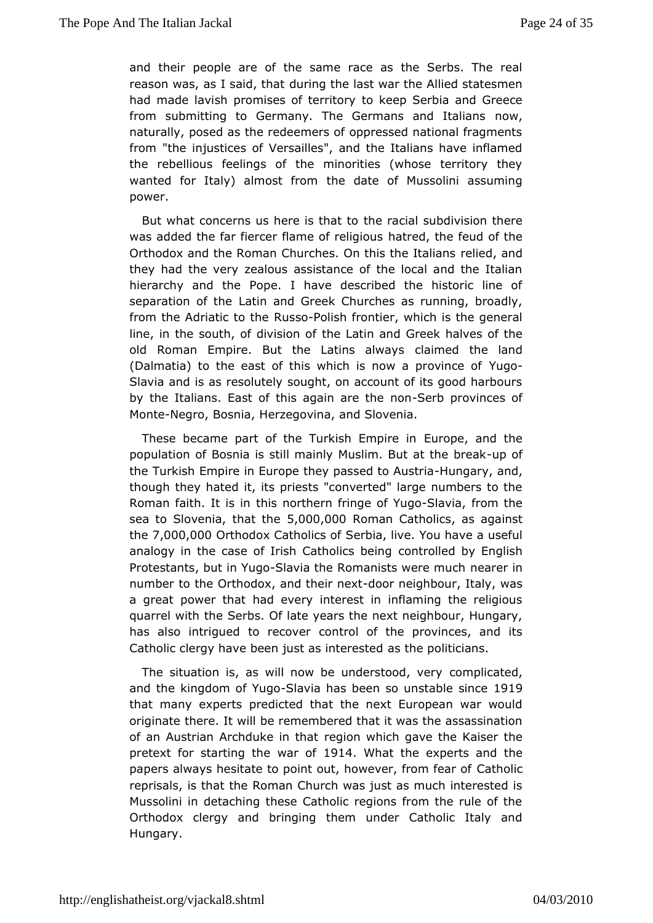and the preople are of the same race as the Serbs. The real reason was, as I said durith that the last war the Allied statesmen had made lavish promises of ot the refer bia and Greece from submitting to Germany. The Germans awad Italians naturally, posed as the redeemers of oppressed national frag from "thingiustices of Versailles", and the Italians have inflar the rebellione alings of the minorities (whose territory they wanted for Italy) almosthe from the of Mussolini assuming power.

But what concerns us here the thandial bubdivision there was added the far fiercer flame hat reed, in oritoous feud of the Orthodox and the Roman Churches. On the slie ble at and lians they had the very zealous assistance of the local and the I hierarchy and the Pope. I have described the historic lin separation of Lahten and Greek Churches as running, broadly, from the Adriatic Roustsheolish frontier, which is the general line, in the south, of dithis ibation and Greek halves of the old Roman Empire. But the Lati**o**is almondaytshe land (Dalmatia) to the east of this which is now uagoprovince of Slavia and is as resolutely sought, on account of its good ha by thetalians. East of this again asterbheromomices of Mont-Negro, Boshiear, zegovina, and Slovenia.

These became part of the Turkish Europeire and the population of Bosnia is still mainly Muslim-upof at the break the Turkish Empire in Europe they past stendig to ya ussnt di, a though the ated it, its priests "converted" large numbers to the Roman faith. It ths simorthern fringe -Sfla Yugo from the sea to Slovenia, th5at00 he00 Roman Catho ais sagainst the7,000,000 Tthodox Catho Sesbot, live. You have a useful analogy in the case of Irish Catchconit collbeed in logy English Protestants, but i-GSIYaugaothe Romanists wenreeameurchn number to the Orthodox, and-dbeirneeighbour, Italy, was a great power that had every interest in inflaming the relig quarrel with Stehrebs. Of late years the next neighbour, Hungary has also intrigued to **reponder** of the provinces, and its Catholic clergy have been just as ithe measitie idcians.

The situation is, as will now be undecomit poloidatedy and the kingdom of Shawge has been so unstable esince thatmany experts predicted that the next European war wou originate there. ble we thembered that it was the assassination of an Austrian Archduke eignioth awthich gave the Kaiser the pretext for starting the 19V1a4r Wolfat theexperts and the papers always hesitate to point out, howe Ceathforloion fear of reprisals, is that the Roman Church was just as much interes Mussolini in detaching these Catholic regions from the rule Orthodoxlergy and bringing them under Catholic Italy and Hungary.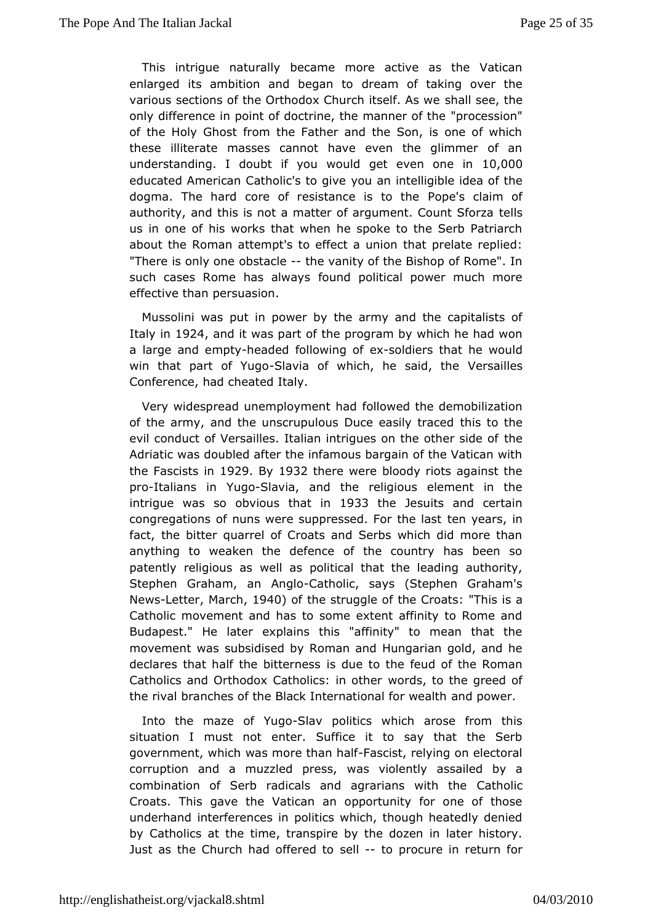This intrignueturally became more active as the Vatican enlarged its ambition and blegam to ttaking over the various sections of the Orthodox Chursh its selfe, Atshave only difference in point of doctrine, the pmoagnes right "the of the Holy Ghost from the Father and the Son, is one of w these illiterate masses cannot have even the glimmer of understandingdoubt if you would get even 00000 in educated American Catholig's utangineelligible idea of the dogma. The hard core of resistanceops's octaiem of authority, and this is not a matter of argumetretlisCount Sforza us in one of his works that when he spoke to the Serb Patr about the eoman attempt's to effect a union that prelate replie "There is onlyokosteaclethe vanity of the Bishop of Rome". In such cases Rome has fouwmady spolitical power much more effective than persuasion.

Mussolini was in power by the army and the capitalists of Italy in924 and it was patthe program by which he had won a large and e-meaded followine a soufidiers that he would win that part of-SMagoa of which, he sa Melrs a hildes Conference, had cheated Italy.

Very widespread unemployment of the demobilization of the army, and the unscrupulous Ducethe asticy threaced evil conduct of Versailles. Italian intrigues onhehe other side Adriatic was doubled after the infamous bargain of the Vatica the Fascists 19r2 9 By 1932 there were bloody riots against the proltalians YrugoSlavia, and the religious element in the intrigue was so obvious 19h3a3the Jesuits and certain congregations of nuns were suppressedenFoeathse last fact, the bitter quarrel of Croats and Serbs which did more anything to weaken the defence of the country has been patently religiouselasas political that the leading authority, Stephen Graham, an-Changbolis, ays (Stephen Graham's NewsLetterMarc, h1940 of the struggle of the "Chosatiss a Catholic movement and has to some extent affinity to Rome Budapest." He later explains this "affinity" to mean that movement weausb sidised by Roman and Hungarian gold, and he declares that half the biistelume so the feud of the Roman Catholics and Orthodox Catholiwss: rois, ottchethe greed of the rival branches of the Black Internataondapdwewealth

Into the maze of-SMagopolitics which arose from this situation I must not enter. Suffice it to say that the S government, whwiadshim ore than Fhaasid ist, relying on electoral corruption and a muzzledwapsressiglently assailed by a combination of Serb radicals and agraricantshowhich the Croats. This gave the Vatican an opportunity for one of t underhand terferences in politics which, though heatedly deni by Catholics atime transpire by the dozen in later history. Just as the Church had offedreto tprocure in return for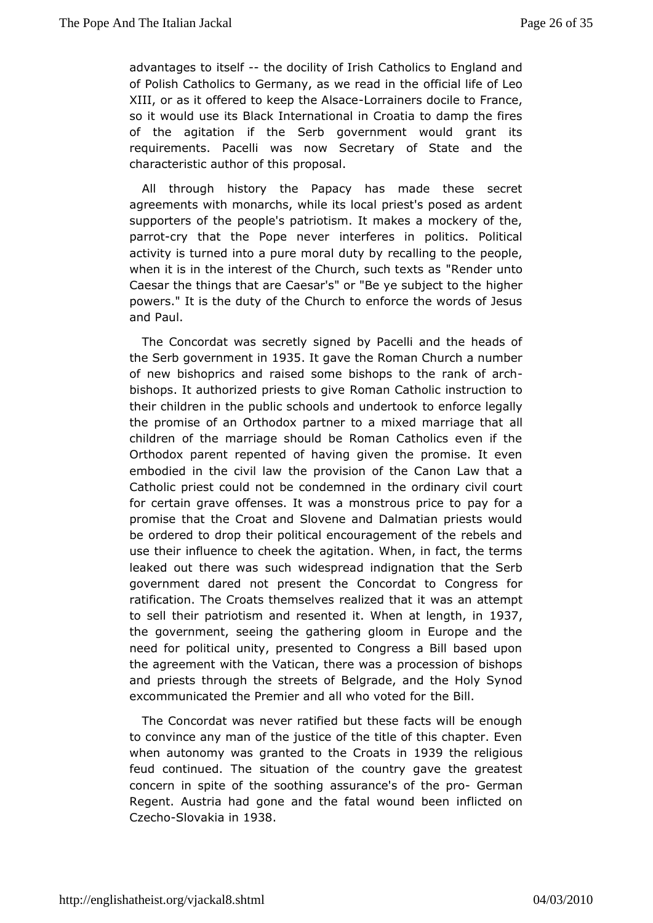advantages to its helf docility of Clatholics to England and of Polish Catholics to Germany, as wfe inceald life the Leo XIII, or as it offered to keep Ltchrea An hearsed bociferance, so it would use its Black International in Croatia to damp the of the agitation if the Serb government would grant i requirements. Paxcæslinow Secretary of State and the characteristic authop roofp bhsiasl.

All through history the Papacy has made these secr agreemenwisth monarchs, while its local priest's posed as ardent supporters of pehosple's patriotism. It makes a mockery of the, parrotry that the Pope inet efferes in politics. Political activity is turned into a pure more abild iuntog to the people, when it is in the interest of the Church Rendertexts as Caesar the things that are Caesar's" or "Behy ehseubject to the powers." It is the duty of the Church to enforce the words of andPaul.

The Concordat was secretly signed by Pacelli and the hea theSerb governme 6935It gave the Roman Church a number of new bishoprics a a seed some bishops to the rank of arch bishops. It authorized priestes mang Cuatholic instruction to their children in the public schools taone nut nod weer to be ockally the promise of an Orthodox partner to a mixead Imarriage that children of the marriage should be Roman Catholics even i Orthodoparent repented of having given the promise. It eve embodied in the civile law ovision of the Canon Law that a Catholic priest could not be cothobe monobionary civil court for certain grave offenses. It was a monpsay o to raice to promise that the Croat and Slovene and Dalmatian priests w beordered to drop their political encouragement of the rebels use their fluence to cheek the agitation. When, in fact, the term leaked out theresuncahs widespread indignation that the Serb government dared not prescent combat to Congress for ratification. The Croats themselves weadsizend atthempt to sell their patriotism and resented it. When the length, in the government, seeing the gathering gloom in Europe and need for political unity, presented to Congress a Bill based up the agreement with athoean, there was a procession of bishops and priests through the sBoneed gitadoef, and the Holy Synod excommunicated the Premier and all whheo Byiohted for

The Concordat was never ratified but these facts will be er to convince any man of the justice of the title of this chapter whenautonomy was granted to the 1C9r3o9atthese ineligious feud continued.sithuation of the country gave the greatest concern in spite of the  $\texttt{as}$  such thange's of the eprmo an Regent. Austria had gone and the fatain wount been Czech **S**lovakia 19038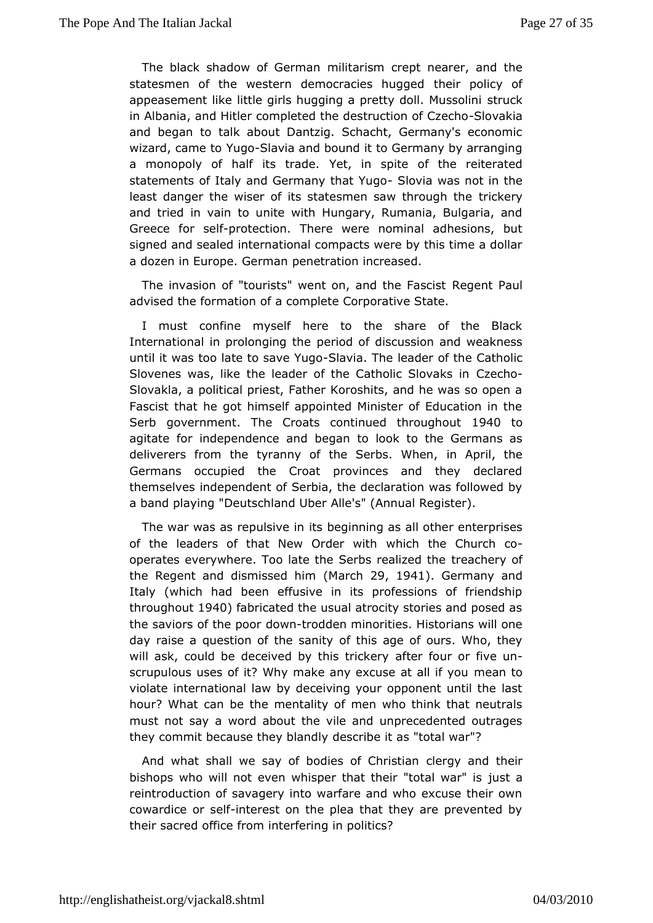The black shadow of Gheirinhamism crept nearer, and the statesmen of the western democractiles irhunoglied of appeasement like little girls hugging a pretstyrudcoll. Mussolini in Albania, and Hitler completed the destr $\theta$  concilvation  $f$  Czecho andbegan to talk about Dantzig. Schacht, Germany's econor wizard, came utgoSlavia and bound it to Germany by arranging a monopoly of half its Yettaden spite of the reiterated statements of Italy and Germany Stllow ta Ywas not in the least danger the wiser of its statesmen sarwckbrough the and tried in vain to unite with Hungary, Rumania, Bulgaria, Greec or sept fotection. There were nominal adhesions, but signed and sealt ednational compacts were by this time a dollar a dozen in Europe. Genmeternation increased.

The invasion of "tourists" went on, a Reteqtehmet FPaasudist advised the formation of a complete Corporative State.

mustconfine myself here to the share of the Black International in prolongergodhef discussion and weakness until it was too late to sSalvaeviYuugTobe ader of the Catholic Slovenes was, like the leader of the CathCalech Slovaks in Slovakla, a political priest, Father Koroshits, and he was so Fascist that he got himself appointed Minister of Education Serbgovernmenthe Croats continued throughout agitate for independenbosegraam do look to the Germans as deliverers from the tyranny of the Sienrb & pr M, hethe Germans occupied the Croat provinces and they declar themselvensdependent of Serbia, the declaration was followed a band play'iDheutschland Uber Alle's" (Annual Register).

The war was as repults wheeen in ing as all other enterprises of the leaders of that New Owds the Church co operates everywhere. Too late the Serbseacheizye ob fthe the Regent and dismiss(Moarbh2n9, 194). Germany and Italy(which had been effusive in its professions of friends throughous 4 p fabricated the usual atrocity stories and posed a the saviors of the opword rodden minorities. Historians will one day raise a question of the thanity ge of ours. Who, they will ask, could be deceived by alfitsertificackreroyr five un scrupulous uses of it? Why make any excumsee anattoall if you violate international law by deceiving your opponent until th hour? What can be the mentality of men who think that neut must not saw oad about the vile and unprecedented outrages they commit because they designionley it as "total war"?

And what shall we say of bodies ooler@ghriasntidantheir bishops who will not even whisper that the iust atal war" is reintroduction of savagery into warfare and who excuse their cowardice orissted fest on the plea that they are prevented by their sacped bice from interfering in politics?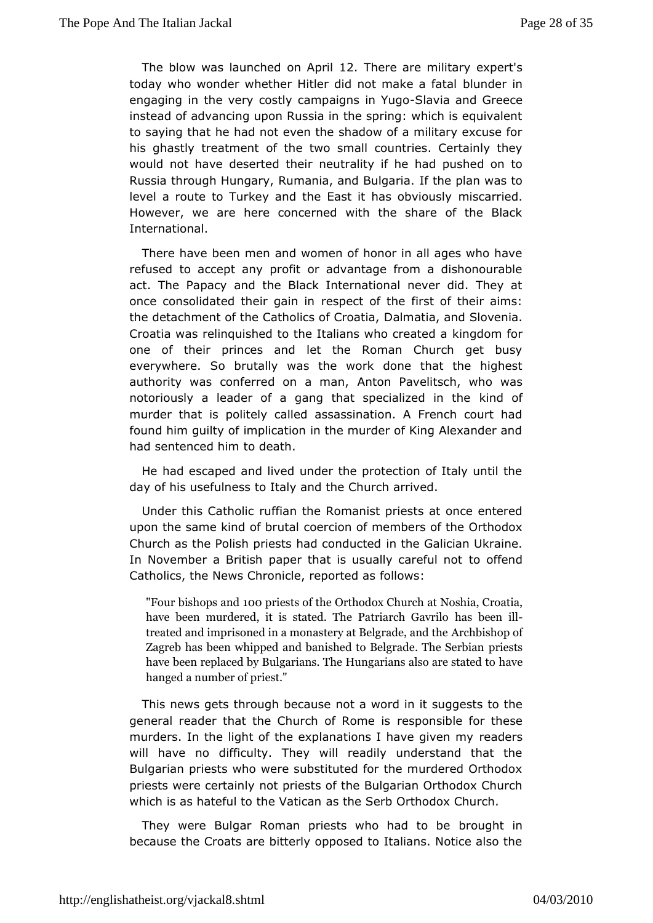The blow was launched to a Tancerride are military expert's today who wonder whether Hitler did not make raimfatal engaging in the very costly campa&dasianaYidgGreece instead of advancing upon Russia in the spring: which is equi to saying the had not even the shadow of a military excuse his ghastly treatomient two small countries. Certainly they would not have desertend uttraility if he had pushed on to Russia through Hungary, Rumania, am dh Bun haari was to level a route to Turkey and the East itmhs sa on be bously However, we are here concerned with the share of the BI International.

There have been men and women of honor in all ages who h refused to accept any profit or advantage from a dishonour act. The Papancdy the Black International never did. They at once consolidated their ecsapienctinof the first of their aims: the detachment of the CatholicsD of In Canto ation of Slovenia. Croatia was relinquished to the Italianskiwand om efactred a one of their princes and let the Roman Church get bu everywher **Sout beat and the work** done that the highest authority was conferred on AnatomanP, avelitsch, who was notoriously a leader of a gang that spekiabized in the murder that is politely called assassination. A French cour foundhim guilty of implication in the murder of King Alexander had sentenced to hidre ath.

He had escaped and lived under the protection of Italy unti day of his usefulness to Italy and the Church arrived.

Under this Cathud fian the Romanist priests at once entered upon the same kind oc obernotialn of members of the Orthodox Church as the Polish priests haidh dbed@atecdan Ukraine. In November a British paper that is usuably of the medful not Catholics, the News Chronicle, followsed as

"Four bishop1s0  $\theta$ pand ests of the Orthoadto. No  $\theta$ shimulanch Croatia, have been murdered, it is stated. Thas Pherearch Gavrilo treated and imprisoned in a monaster Arach Biosligor padcef, and the Zagreb has been whipped and banished to r B est grade. The S have been replaced by Bulgarians. The Hunhgaaw eans also are hanged a number of priest."

This news gets through rboetcauwerd in it suggests to the general reader that the Church roefs Roomsebie for these murders. In the light of the explanations Irehand wersgiven my will have no difficulty. They will readily understand that Bulgaripmiests who were substituted for the murdered Orthodo priests were centatnpyiests of the Bulgarian Orthodox Church which is as hateful to thæs Vtaheic Saenth Orthodox Church.

They were Bulgar Roman priests who brhound hto inbe because the Croats are bitterly opposed to Italians. Notice also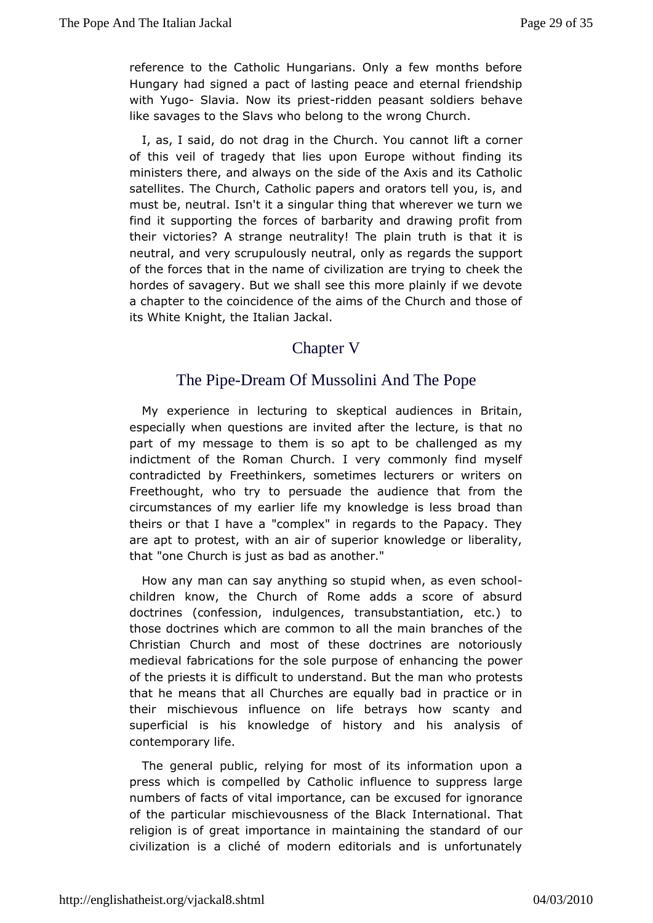reference to the Catholic Hungarians. Only a few months be Hungary hsaid ned a pact of lasting peace and eternal friendship with Yug8lavia. Nowpits sidden peasant soldiers behave like savages to the Slavs who hbew or and  $C$  hurch.

I, as, I said, do not drag in the Church it a concrement of this veil of tragedy that lies upon Europe without findin ministers there, and always on the side of the Axis and its C. satellites. Church, Catholic papers and orators tell you, is, must be, neutsm't it a singular thing that wherever we turn we find it supporting theoffdoracrebsarity and drawing profit from their victories? A strange neuplainty truth heis that it is neutral, and very scrupulously newerged rdosnineasupport of the forces that in the name of civilization eartherying to hordes of savagery. But we shall see this more plainly if we  $\epsilon$ achapter to the coincidence of the aims of the Church and the its WhiKenight, the Italian Jackal.

## Chapter V

## ThePipe-Dream Of Mussolini And The Pope

My experience in lectus keoptitosal audiences in Britain, especially when questions are invilteenot uarfeter is the bat no part of my message to them is so apt to be challenged as indictment of the Roman Church. I very commonly find mys contradicted Fboyethinkers, sometimes lecturers or writers on Freethought, who try to ptehresuand delience that from the circumstances of my earlier life my knowledgethesn less theirs or that I have a "complex" in regards to the Papacy. areapt to protest, with an air of superior knowledge or liberal that "onCchurch is just as bad as another."

How any man can say anything when stuantine ven school children know, the Church of Rome adds a score of abs doctrines (confession, indulgences, transubstantiation, etc. those doctrime is hare common to all the main branches of the Christian Church and mibese of doctrines are notoriously medieval fabrications for the solenpancoise offe power of the priests it is difficult to understawn blo pound the heat sman that he means that all Churches are equally bad in practice their mischievous influence on life betrays how scanty superficial is k mowledge of history and his analysis of contemporary life.

The genepalblic, relying for most of its information upon  $\imath$ press which is compeClaetcholdyc influence to suppress large numbers of facts of vital impobleane a can for ignorance of the particular mischievousness lafethmet Bdaak. That religion is of great importance in maintainionfgothre standard civilization is a cliché of modern editorials and is unfortu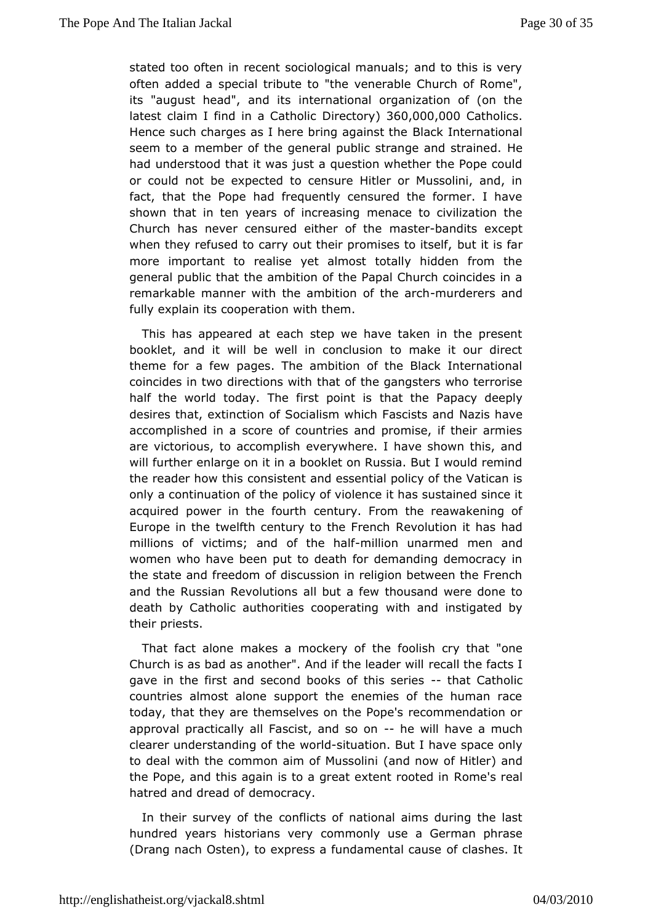state doo often in recent sociological manuals; and to this is often added pæcial tribute to "the venerable Church of Rome" its "august head", aimderinsational organization of (on the latest claim I find in a  $DG$  reator to  $d$  if  $\&60.000$ ,  $0.000$  atholics Hence such charges as I here brin**Blagk** instructional seem to a member of the general public stranded and strained had understood that it was just a question whether the Pope or couldot be expected to censure Hitler or Mussolini, and, fact, that the Poperemand frequently censured the former. I have shown that in ten years of *ineneasing* civilization the Church has never censured eitmmenstelbanhobeits except when they refused to carry out their probmuits ets itso fattself, more important to realise yet almost totally hidden from general public that the ambition of the Papal Church coincide remarkab the anner with the ambition of mithed earnecrits and fully explain its coopvetrattibem.

This has appeared at each step we have taken in the prest booklet, and it will be well in conclusion to make it our c theme for a pewes. The ambition of the Black International coincides in two directibas wittthe gangsters who terrorise half the world today. The firshapothe iBapacy deeply desires that, extinction of Socialism which Fasis and Nazists and accomplished in a score of countries and promise, if their a arevictorious, to accomplish everywhere. I have shown this, will furtheenlarge on it in a booklet on Russia. But I would remi the reader how colmissistent and essential policy of the Vatican i only a continuation policheof violence it has sustained since it acquired power in the century. From the reawakening of Europe in the twelfth century to Rtehweol Funte on the has had millions of victims; and of mthe eominarmed annualn women who have been put to death for demanding democracy the state  $d$  nededom of discussion in religion between the French and the Russian Revoallutbourtsa few thousand were done to death by Catholic authorities ovoibh earnad inighistigated by their priests.

That fact alone makes a mobeef gobish cry that "one Church is as bad as another". And if rechoes Ille and he faxcitist I gave in the first and second books of that Gasbolles countries almost alone support the enemies of the human i todaythat they are themselves on the Pope's recommendation approval practiad all Fyascist, and -son eon will have a much clearer understanding woorl-sthing ation. But I have space only to deal with the common aim of a Mids now indifficitier) and the Pope, and this again is to a great  $\theta$ xd ment's rore tadd in hatred and dread of democracy.

In their survey odo thibicts of national aims during the last hundred years historiane mweonly use a German phrase (Drang nach Osten), to express a fundamentashecsauste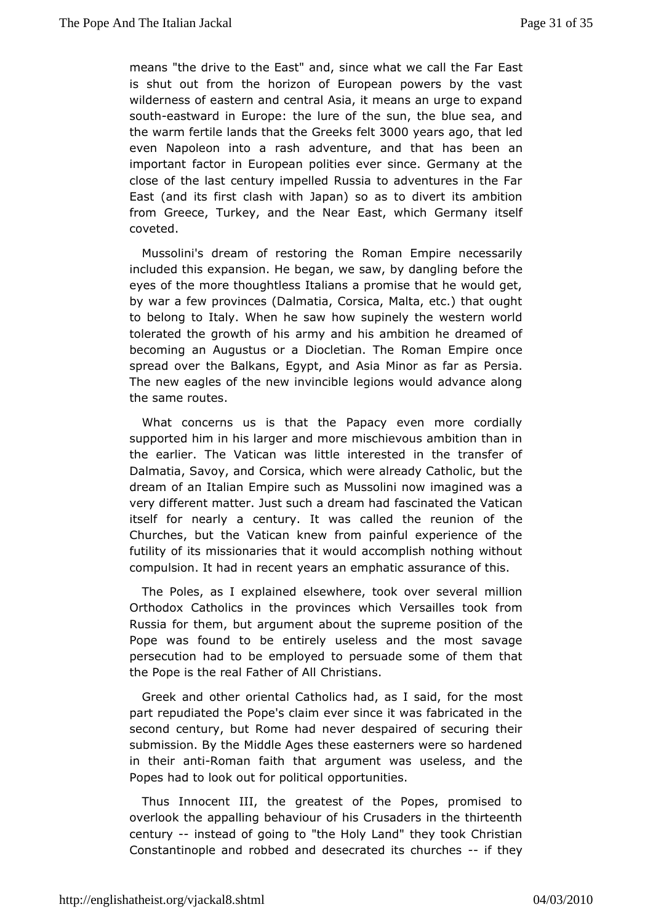means "the drive to the East" and, since wha awt call the Fa is shut out from the horizon of European powers by the  $y$ wildernesse as tern and central Asia, it means an urge to expar sout heastward in Euntomeelure of the sun, the blue sea, and the warm fertile lands that the  $\theta \theta \theta \theta \psi$  ars agbat led even Napoleon into a rash adventure, beenthaant has important factor in European polities ever since. Germany a closef the last century impelled Russia to adventures in the East (and its cfliash with Japan) so as to divert its ambition from Greece, Turkey, and EhestNewahrich Germany itself coveted.

Mussolini's dream of restoRroimganthEempire necessarily included this expansion. He began, we saw fobe then gling eyes of the more thoughtless Italians a promise that he would bywar a few provinces (Dalmatia, Corsica, Malta, etc.) that c to belong Italy. When he saw how supinely the western world tolerated the growthapm whizend his ambition he dreamed of becoming an Augustus or a DiocRoman Empire once spread over the Balkans, Egypt, and Asia PMeimscia.as far as The new eagles of the new invincible legions would advance thesame routes.

What concerns us is that the Papacy even more cordia supported him in his larger and more mischievous ambition th the earlienthe Vatican was little interested in the transfer Dalmatia, Savoy Coarrsdica, which were already Catholic, but the dream of an Italian EmpireMssschlims now imagined was a very different matter. Just such fasice man endathe Vatican itself for nearly a century. It was called the reunion of Churches, but the Vatican knew from painful experience of futility ios missionaries that it would accomplish nothing with compulsion. It hat int years an emphatic assurance of this.

The Poles, as I expellasienwehdere, took over several million Orthodox Catholics in the provime esaiw leischtook from Russia for them, but argument about the supteme position of Pope was found to be entirely useless and the most sav persecution habde to mployed to persuade some of them that the Pope is the real FatCher sotfiants.

Greek and other oriental Catholics had, asndstaid, for the part repudiated the Pope's claim ever since it was fabricated secondentury, but Rome had never despaired of securing the submission. B Mit the le Ages these easterners were so hardened in their aRholman faith tahragtument was useless, and the Popes had to look out for popositionaties.

Thus Innocent III, the greatest of the Popes, promised overlook the appalling behaviour of his Crusaders in the thir century-instead of going to "the Holy Land" they took Christi Constantinopleroabhoded and desecrated its - chfurtheys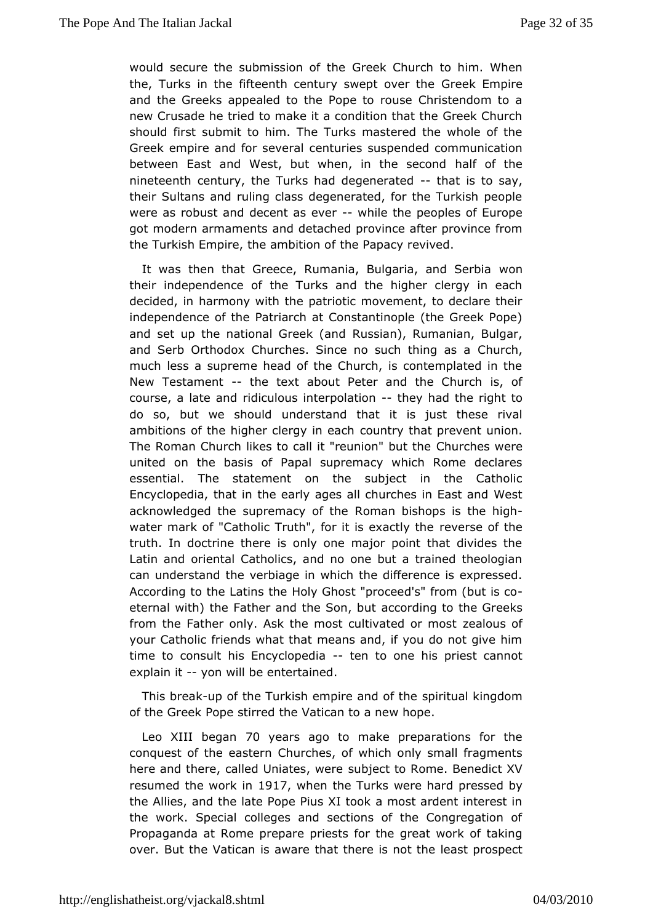would secure the submissi $\mathbf G$ reoefk t $\mathbf G$ burch to him. When the, Turks in the fifteenth century sween the Gemptihre and the Greeks appealed to the Pope to rouse Christendom newCrusade he tried to make it a condition that the Greek Ch should fiss the mit to him. The Turks mastered the whole of the Greek empire and for cseenvteurrales suspended communication between East and West, but when, inhalte osfectbad nineteenth century, the Turks had  $\det$  is the say, their Sultans and ruling class degenerated, for the Turkish p were arsobust and decent as wehuide the peoples of Europe got modern armamandtsdetached province after province from the Turkish Empire, the ambit Poamp  $a$ ty revived.

It was then that Greece, Rumania, Bulgarwao, nand Serbia their independence of the Turks and the higher clergy in decided, hiarmony with the patriotic movement, to declare their independence of attrearch at Constantinople (the Greek Pope) and set up the national Grees's (am)d Rumanian, Bulgar, and Serb Orthodox Churches. Since no such turtching as a much less a supreme head of the Church, is contemplated ir NewTestament the text about Peter and the Church is, of course, a lateriadmidulous interpolathion had the right to do so, but we shuonud dirstand that it is just these rival ambitions of the higher clergy uimtry at that prevent union. The Roman Church likes to call it "reQuhuornhebsutwehre united on the basis of Papal supremacy which Rome declar essential. The statement on the subject in the Catho Encyclopedia, the early ages all churches in East and West acknowledged the supremac  $\mathbb R$  or the  $\mathbb R$  is the high water mark of "Catholic Truth", for itresveensee to by tthee truth. In doctrine there is only one major point that divides Latin and oriental Catholics, and no one but a trained theol can understahned verbiage in which the difference is expressec According to the Latins ut Genost "proceed's" from (but is co eternal with) the Father and the condinguito the Greeks from the Father only. Ask the most cultizue analogue or form ost your Catholic friends what that means and, if you do not give time to consult his Ency-eltoepnediba one his priest cannot  $explain-*i*$  yon will be entertained.

This break of the Turkish empire aspodrotfuathekingdom of the Greek Pope stirred the Vatican to a new hope.

LeoXIII bega no years ago to make preparations for the conquest of the e & shit error hes, of which only small fragments here and there, called Unissue bsjecwietre Rome. Benedict XV resumed the worle lin when the Turks werprhased by the Allies, and the late Pope Pius XI took a most ardent inte the work. Special colleges and sections of the Congregation Propaganda Rame prepare priests for the great work of taking over. But the Vatican itshaatwich eere is not the least prospect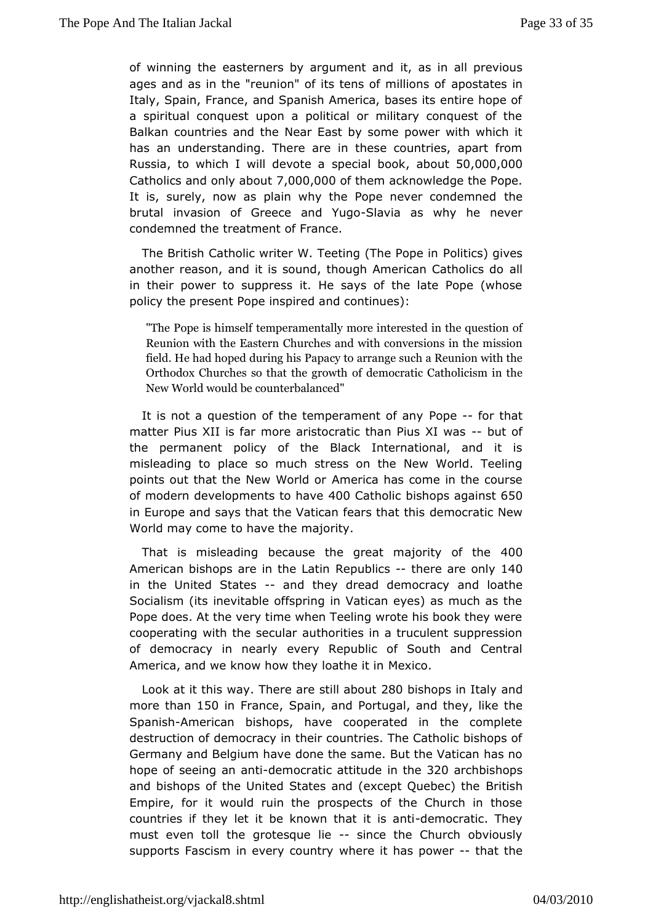of winning the easterners by argumantimanall previous ages and as in the "reunion" of its tenapostratesoins of Italy, Spain, France, and Spanish America, bases its entire h a spiritual conquest upon a political or military conquest c Balkanountries and the Near East by some power with which has an understandhinege are in these countries, apart from Russia, to which I will dpectal ab, oa kout50,000,000 Catholics and only  $7,20000,10000$  themcknowledge the Pope. It is, surely, now as plain why the Pope nether condemned brutal invasion of Greece -Shadvia ugs why he never condemned the eatment of France.

The British Catholic writer W. Teetin PollThies Poppeens another reason, and it is sound, though Ameradan Catholics in their power to suppress it. He says of the late Pope (w policy the psent Pope inspired and continues):

"The Pope is theimm pselfamentally more interested in the questi Reunion with the C E as te ers and with conversions in the miss field. He had hoped Palpaing thoisarrange such a Reunion with t Orthodox Churches so that the growth Catholicism in the New World would antierbalanced"

It is not a question of the temperaProperet-foodrathyat matter Pius XII is far more aristocratic thamu Pioufs XI was the permanent policy of the Black International, and it misleading place so much stress on the New World. Teeling points out that the New *Woreld* carhas come in the course of modern developments 4to 0 Catholics hops aga65s0t in Europe and says that the Vatican democratic thiesw World may come to have the majority.

That is misleablenconguse the great majority 4000f the A merican bishops are in  $\mathbb R$  heep ulbaliers there are only 10 in the United Stateensd they dread democannoacholoathe Socialism (its inevitable offspring in Vatican eyes) as much Pope does. At the very time when Teeling wrote his book they cooperatim gth the secular authorities in a truculent suppressi of democracy in neevaerly Republic of South and Central America, and we know how they Meatbe it in

Look at it this Twhas ye are still 2a & Obbuits hops in Latrady more tha1n50 in Fran, Sepai,nand PortugavanId they ike the Spanis $A$ merican bishops, have cooperated in the complet destruction comfio cracy in their countries. The Catholic bishops Germany and Belgiumdohmaevehe same. But the Vatican has no hope of seeing adeamoticratic attitude 820 archbishops and bishops of the United States and (exceptid uebec) the Empire, for it would ruin the prospects of the Church in t countries they let it be known that detmics craantic. They must even tollgtbeesque -lisince the Church obviously supports Fascism in everwhere ity has powteat the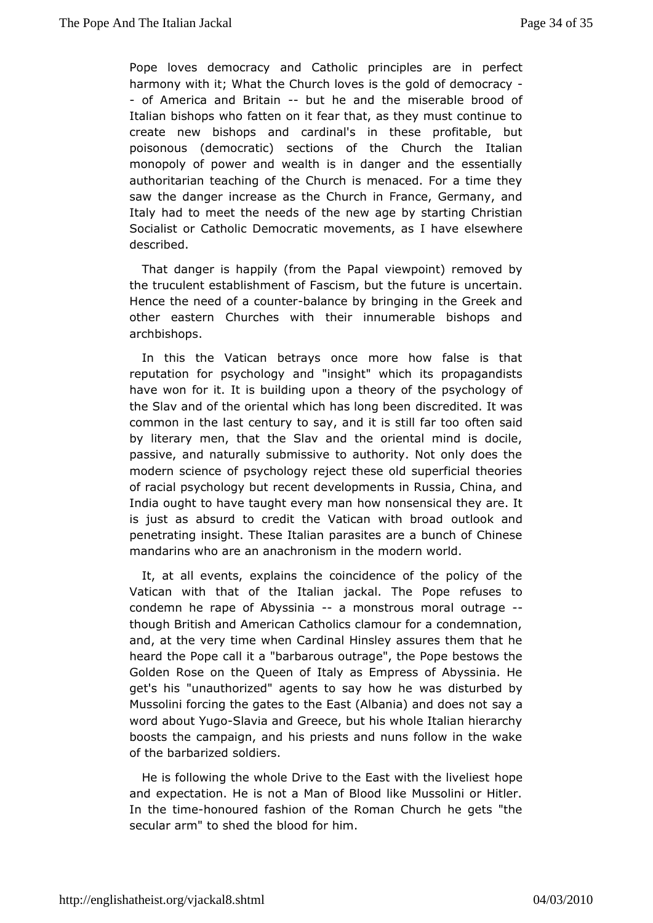Pope loves democracy and Catholic pimin pion feactare harmony with it; What the Church loves is the gold of democr - of America and Britabiunt he and the miserable brood of Italian bishops fantheon on it fear that, as they must continue to create new bishopscaanddinal's in these profitable, but poisonous (democratic) section Church the Italian monopoly of power and wealth is in danger and the essent authoritarian teaching of the Church is menaced. For a time saw the danignecrrease as the Church in France, Germany, and Italy had to meet the nteheed snewf age by starting Christian Socialist or Catholic Democratic moverancents seawshere described.

That danger is happily (from view proapt) removed by the truculent establishment of Fascism, buntcehtea flouture is Hence the need of a-balantee by bringing in the Greek and other eastern Churches with their innumerable bishops and archbishops.

In this the Vatican betrays once more how false is that reputation for psycholog"ynsight" which its propagandists have won for it. It is buildithge ourpyomofathe psychology of the Slav and of the oriental which blass credigte been the was common in the last century to say, and ioftenstablicar too by literary men, that the Slav and the oriental mind is do passive, and naturally submissive to authority. Not only doe modern science psychology reject these old superficial theorie of racial psycholorgey count developments in Russia, China, and India ought to have taught chow yn on a sensical they are. It is just as absurd to credit the Vaticaonut wo ook anodad penetrating insight. These Italian parasites are a bunch of C mandarins who are an anachronism in the modern world.

It, at all eveen *x* palains the coincidence of the policy of the Vatican with that of the iald the allen The Pope refuses to condemn he rape of Abysasimmican strous moutaragethough British and American Catholics clamour for a condemn and, at the very time when Cardinal Hinsley assures them th heard the Popeld it a "barbarous outrage", the Pope bestows th Golden Rose on the Quteady as Empress of Abyssinia. He get's his "unauthorized" agents to we asy chiosturibeed by Mussolini forcing the gates to the East (Albasmaiya) a and does no word about YSulgaovia and Greece, but his whole Italian hierarch boostshe campaign, and his priests and nuns follow in the  $w_i$ of the barbars  $\alpha$  beddiers.

He is following the whole Drive to the Easthworth the livelies and expectation. He is not a Man of Blood like Mussolini or In thetimehonoured fashion of the Roman Church he gets "the secular arm" to sheeld didefor him.